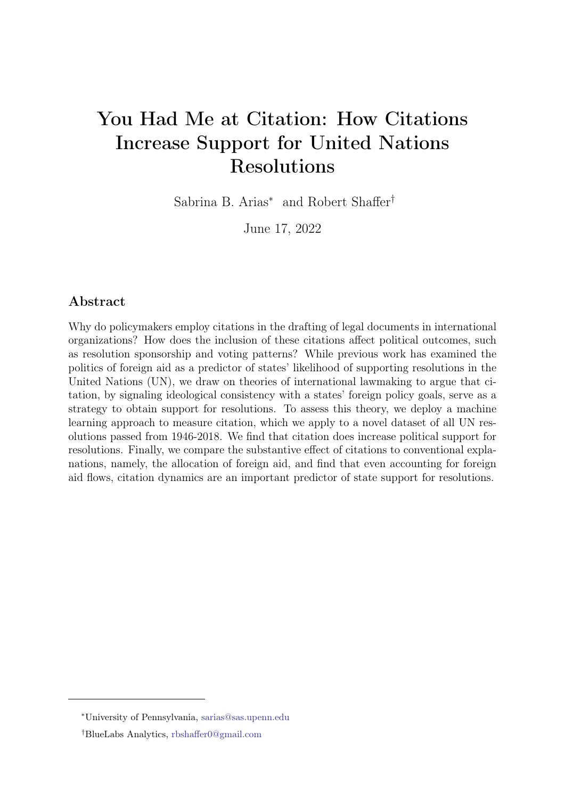# You Had Me at Citation: How Citations Increase Support for United Nations Resolutions

Sabrina B. Arias<sup>∗</sup> and Robert Shaffer†

June 17, 2022

## Abstract

Why do policymakers employ citations in the drafting of legal documents in international organizations? How does the inclusion of these citations affect political outcomes, such as resolution sponsorship and voting patterns? While previous work has examined the politics of foreign aid as a predictor of states' likelihood of supporting resolutions in the United Nations (UN), we draw on theories of international lawmaking to argue that citation, by signaling ideological consistency with a states' foreign policy goals, serve as a strategy to obtain support for resolutions. To assess this theory, we deploy a machine learning approach to measure citation, which we apply to a novel dataset of all UN resolutions passed from 1946-2018. We find that citation does increase political support for resolutions. Finally, we compare the substantive effect of citations to conventional explanations, namely, the allocation of foreign aid, and find that even accounting for foreign aid flows, citation dynamics are an important predictor of state support for resolutions.

<sup>∗</sup>University of Pennsylvania, [sarias@sas.upenn.edu](mailto:sarias@sas.upenn.edu)

<sup>†</sup>BlueLabs Analytics, [rbshaffer0@gmail.com](mailto:rbshaffer0@gmail.com)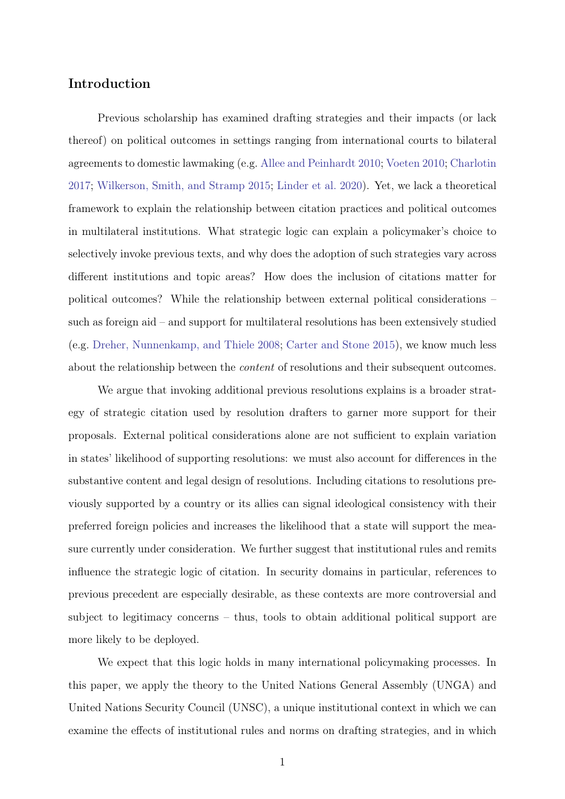## Introduction

Previous scholarship has examined drafting strategies and their impacts (or lack thereof) on political outcomes in settings ranging from international courts to bilateral agreements to domestic lawmaking (e.g. [Allee and Peinhardt](#page-28-0) [2010;](#page-28-0) [Voeten](#page-32-0) [2010;](#page-32-0) [Charlotin](#page-29-0) [2017;](#page-29-0) [Wilkerson, Smith, and Stramp](#page-32-1) [2015;](#page-32-1) [Linder et al.](#page-30-0) [2020\)](#page-30-0). Yet, we lack a theoretical framework to explain the relationship between citation practices and political outcomes in multilateral institutions. What strategic logic can explain a policymaker's choice to selectively invoke previous texts, and why does the adoption of such strategies vary across different institutions and topic areas? How does the inclusion of citations matter for political outcomes? While the relationship between external political considerations – such as foreign aid – and support for multilateral resolutions has been extensively studied (e.g. [Dreher, Nunnenkamp, and Thiele](#page-29-1) [2008;](#page-29-1) [Carter and Stone](#page-28-1) [2015\)](#page-28-1), we know much less about the relationship between the content of resolutions and their subsequent outcomes.

We argue that invoking additional previous resolutions explains is a broader strategy of strategic citation used by resolution drafters to garner more support for their proposals. External political considerations alone are not sufficient to explain variation in states' likelihood of supporting resolutions: we must also account for differences in the substantive content and legal design of resolutions. Including citations to resolutions previously supported by a country or its allies can signal ideological consistency with their preferred foreign policies and increases the likelihood that a state will support the measure currently under consideration. We further suggest that institutional rules and remits influence the strategic logic of citation. In security domains in particular, references to previous precedent are especially desirable, as these contexts are more controversial and subject to legitimacy concerns – thus, tools to obtain additional political support are more likely to be deployed.

We expect that this logic holds in many international policymaking processes. In this paper, we apply the theory to the United Nations General Assembly (UNGA) and United Nations Security Council (UNSC), a unique institutional context in which we can examine the effects of institutional rules and norms on drafting strategies, and in which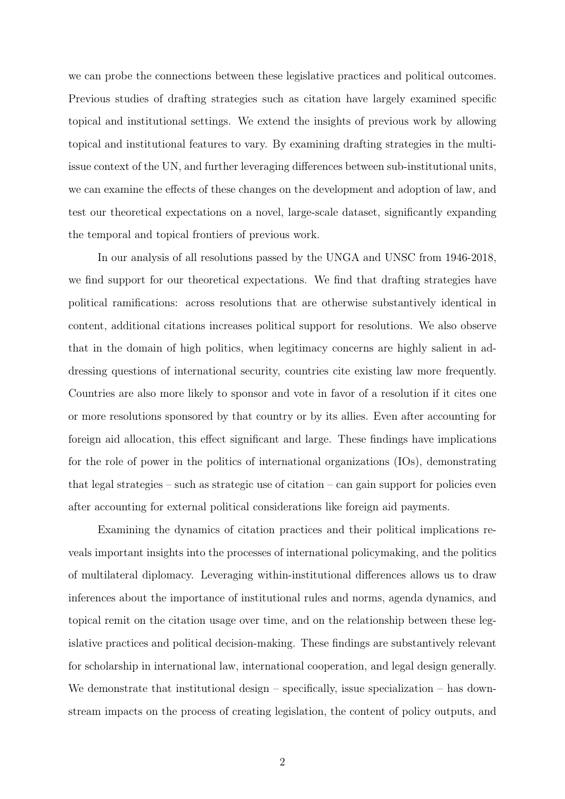we can probe the connections between these legislative practices and political outcomes. Previous studies of drafting strategies such as citation have largely examined specific topical and institutional settings. We extend the insights of previous work by allowing topical and institutional features to vary. By examining drafting strategies in the multiissue context of the UN, and further leveraging differences between sub-institutional units, we can examine the effects of these changes on the development and adoption of law, and test our theoretical expectations on a novel, large-scale dataset, significantly expanding the temporal and topical frontiers of previous work.

In our analysis of all resolutions passed by the UNGA and UNSC from 1946-2018, we find support for our theoretical expectations. We find that drafting strategies have political ramifications: across resolutions that are otherwise substantively identical in content, additional citations increases political support for resolutions. We also observe that in the domain of high politics, when legitimacy concerns are highly salient in addressing questions of international security, countries cite existing law more frequently. Countries are also more likely to sponsor and vote in favor of a resolution if it cites one or more resolutions sponsored by that country or by its allies. Even after accounting for foreign aid allocation, this effect significant and large. These findings have implications for the role of power in the politics of international organizations (IOs), demonstrating that legal strategies – such as strategic use of citation – can gain support for policies even after accounting for external political considerations like foreign aid payments.

Examining the dynamics of citation practices and their political implications reveals important insights into the processes of international policymaking, and the politics of multilateral diplomacy. Leveraging within-institutional differences allows us to draw inferences about the importance of institutional rules and norms, agenda dynamics, and topical remit on the citation usage over time, and on the relationship between these legislative practices and political decision-making. These findings are substantively relevant for scholarship in international law, international cooperation, and legal design generally. We demonstrate that institutional design  $-$  specifically, issue specialization  $-$  has downstream impacts on the process of creating legislation, the content of policy outputs, and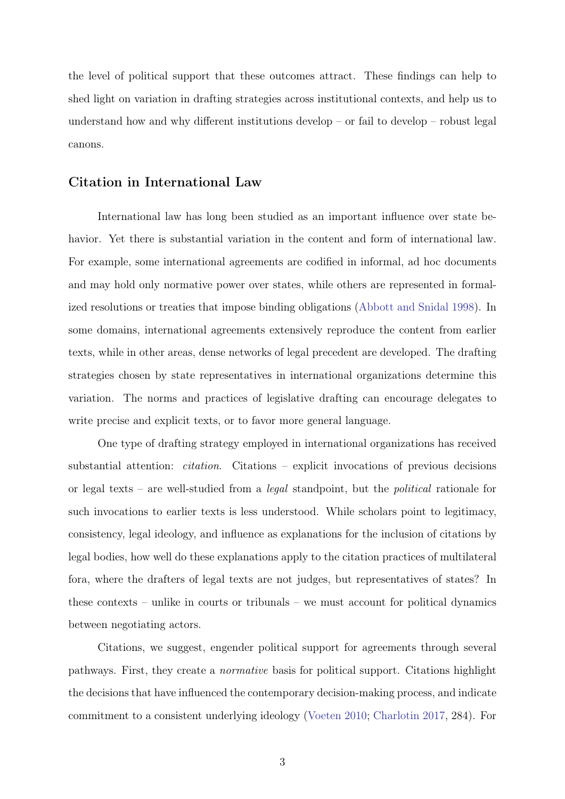the level of political support that these outcomes attract. These findings can help to shed light on variation in drafting strategies across institutional contexts, and help us to understand how and why different institutions develop – or fail to develop – robust legal canons.

## Citation in International Law

International law has long been studied as an important influence over state behavior. Yet there is substantial variation in the content and form of international law. For example, some international agreements are codified in informal, ad hoc documents and may hold only normative power over states, while others are represented in formalized resolutions or treaties that impose binding obligations [\(Abbott and Snidal](#page-28-2) [1998\)](#page-28-2). In some domains, international agreements extensively reproduce the content from earlier texts, while in other areas, dense networks of legal precedent are developed. The drafting strategies chosen by state representatives in international organizations determine this variation. The norms and practices of legislative drafting can encourage delegates to write precise and explicit texts, or to favor more general language.

One type of drafting strategy employed in international organizations has received substantial attention: citation. Citations – explicit invocations of previous decisions or legal texts – are well-studied from a legal standpoint, but the political rationale for such invocations to earlier texts is less understood. While scholars point to legitimacy, consistency, legal ideology, and influence as explanations for the inclusion of citations by legal bodies, how well do these explanations apply to the citation practices of multilateral fora, where the drafters of legal texts are not judges, but representatives of states? In these contexts – unlike in courts or tribunals – we must account for political dynamics between negotiating actors.

Citations, we suggest, engender political support for agreements through several pathways. First, they create a normative basis for political support. Citations highlight the decisions that have influenced the contemporary decision-making process, and indicate commitment to a consistent underlying ideology [\(Voeten](#page-32-0) [2010;](#page-32-0) [Charlotin](#page-29-0) [2017,](#page-29-0) 284). For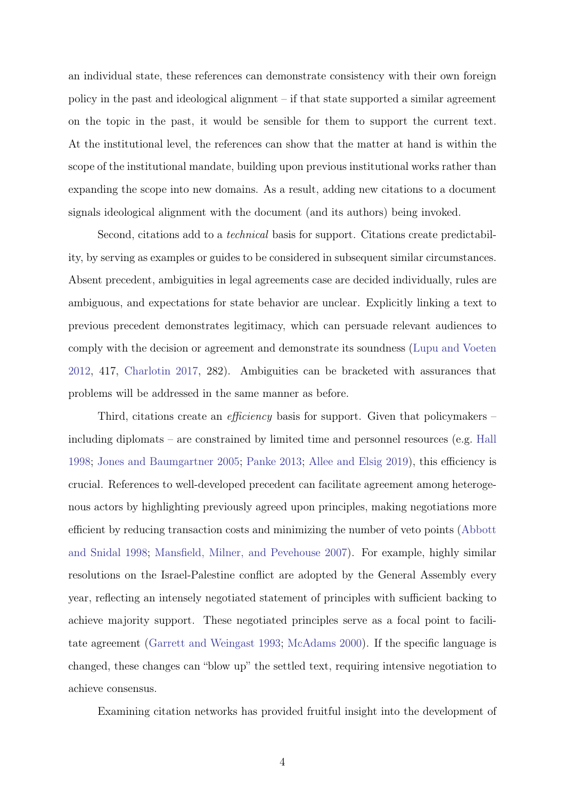an individual state, these references can demonstrate consistency with their own foreign policy in the past and ideological alignment – if that state supported a similar agreement on the topic in the past, it would be sensible for them to support the current text. At the institutional level, the references can show that the matter at hand is within the scope of the institutional mandate, building upon previous institutional works rather than expanding the scope into new domains. As a result, adding new citations to a document signals ideological alignment with the document (and its authors) being invoked.

Second, citations add to a technical basis for support. Citations create predictability, by serving as examples or guides to be considered in subsequent similar circumstances. Absent precedent, ambiguities in legal agreements case are decided individually, rules are ambiguous, and expectations for state behavior are unclear. Explicitly linking a text to previous precedent demonstrates legitimacy, which can persuade relevant audiences to comply with the decision or agreement and demonstrate its soundness [\(Lupu and Voeten](#page-30-1) [2012,](#page-30-1) 417, [Charlotin](#page-29-0) [2017,](#page-29-0) 282). Ambiguities can be bracketed with assurances that problems will be addressed in the same manner as before.

Third, citations create an *efficiency* basis for support. Given that policymakers – including diplomats – are constrained by limited time and personnel resources (e.g. [Hall](#page-30-2) [1998;](#page-30-2) [Jones and Baumgartner](#page-30-3) [2005;](#page-30-3) [Panke](#page-31-0) [2013;](#page-31-0) [Allee and Elsig](#page-28-3) [2019\)](#page-28-3), this efficiency is crucial. References to well-developed precedent can facilitate agreement among heterogenous actors by highlighting previously agreed upon principles, making negotiations more efficient by reducing transaction costs and minimizing the number of veto points [\(Abbott](#page-28-2) [and Snidal](#page-28-2) [1998;](#page-28-2) [Mansfield, Milner, and Pevehouse](#page-31-1) [2007\)](#page-31-1). For example, highly similar resolutions on the Israel-Palestine conflict are adopted by the General Assembly every year, reflecting an intensely negotiated statement of principles with sufficient backing to achieve majority support. These negotiated principles serve as a focal point to facilitate agreement [\(Garrett and Weingast](#page-30-4) [1993;](#page-30-4) [McAdams](#page-31-2) [2000\)](#page-31-2). If the specific language is changed, these changes can "blow up" the settled text, requiring intensive negotiation to achieve consensus.

Examining citation networks has provided fruitful insight into the development of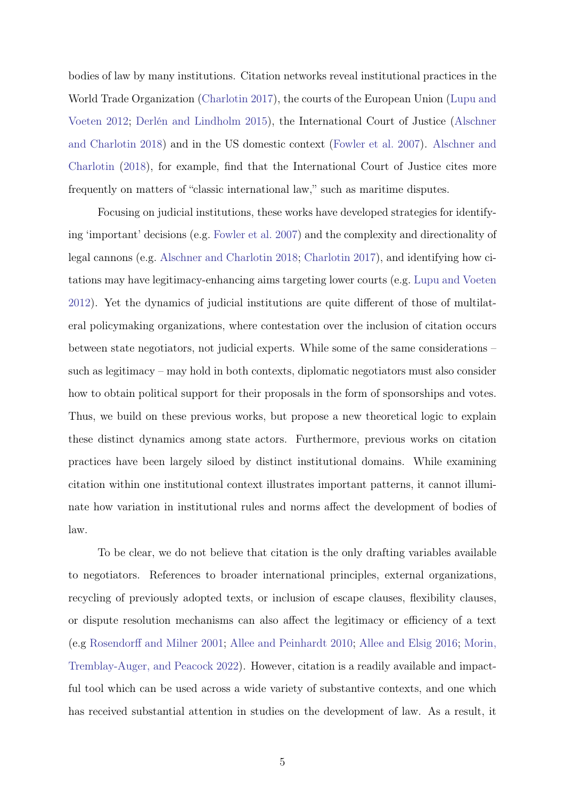bodies of law by many institutions. Citation networks reveal institutional practices in the World Trade Organization [\(Charlotin](#page-29-0) [2017\)](#page-29-0), the courts of the European Union [\(Lupu and](#page-30-1) [Voeten](#page-30-1) [2012;](#page-30-1) [Derlén and Lindholm](#page-29-2) [2015\)](#page-29-2), the International Court of Justice [\(Alschner](#page-28-4) [and Charlotin](#page-28-4) [2018\)](#page-28-4) and in the US domestic context [\(Fowler et al.](#page-29-3) [2007\)](#page-29-3). [Alschner and](#page-28-4) [Charlotin](#page-28-4) [\(2018\)](#page-28-4), for example, find that the International Court of Justice cites more frequently on matters of "classic international law," such as maritime disputes.

Focusing on judicial institutions, these works have developed strategies for identifying 'important' decisions (e.g. [Fowler et al.](#page-29-3) [2007\)](#page-29-3) and the complexity and directionality of legal cannons (e.g. [Alschner and Charlotin](#page-28-4) [2018;](#page-28-4) [Charlotin](#page-29-0) [2017\)](#page-29-0), and identifying how citations may have legitimacy-enhancing aims targeting lower courts (e.g. [Lupu and Voeten](#page-30-1) [2012\)](#page-30-1). Yet the dynamics of judicial institutions are quite different of those of multilateral policymaking organizations, where contestation over the inclusion of citation occurs between state negotiators, not judicial experts. While some of the same considerations – such as legitimacy – may hold in both contexts, diplomatic negotiators must also consider how to obtain political support for their proposals in the form of sponsorships and votes. Thus, we build on these previous works, but propose a new theoretical logic to explain these distinct dynamics among state actors. Furthermore, previous works on citation practices have been largely siloed by distinct institutional domains. While examining citation within one institutional context illustrates important patterns, it cannot illuminate how variation in institutional rules and norms affect the development of bodies of law.

To be clear, we do not believe that citation is the only drafting variables available to negotiators. References to broader international principles, external organizations, recycling of previously adopted texts, or inclusion of escape clauses, flexibility clauses, or dispute resolution mechanisms can also affect the legitimacy or efficiency of a text (e.g [Rosendorff and Milner](#page-32-2) [2001;](#page-32-2) [Allee and Peinhardt](#page-28-0) [2010;](#page-28-0) [Allee and Elsig](#page-28-5) [2016;](#page-28-5) [Morin,](#page-31-3) [Tremblay-Auger, and Peacock](#page-31-3) [2022\)](#page-31-3). However, citation is a readily available and impactful tool which can be used across a wide variety of substantive contexts, and one which has received substantial attention in studies on the development of law. As a result, it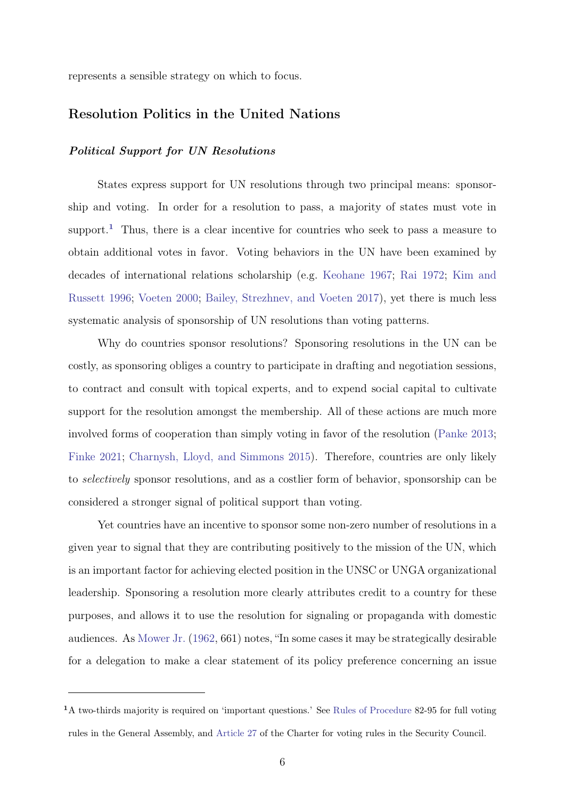represents a sensible strategy on which to focus.

## Resolution Politics in the United Nations

## Political Support for UN Resolutions

States express support for UN resolutions through two principal means: sponsorship and voting. In order for a resolution to pass, a majority of states must vote in support.<sup>[1](#page-6-0)</sup> Thus, there is a clear incentive for countries who seek to pass a measure to obtain additional votes in favor. Voting behaviors in the UN have been examined by decades of international relations scholarship (e.g. [Keohane](#page-30-5) [1967;](#page-30-5) [Rai](#page-31-4) [1972;](#page-31-4) [Kim and](#page-30-6) [Russett](#page-30-6) [1996;](#page-30-6) [Voeten](#page-32-3) [2000;](#page-32-3) [Bailey, Strezhnev, and Voeten](#page-28-6) [2017\)](#page-28-6), yet there is much less systematic analysis of sponsorship of UN resolutions than voting patterns.

Why do countries sponsor resolutions? Sponsoring resolutions in the UN can be costly, as sponsoring obliges a country to participate in drafting and negotiation sessions, to contract and consult with topical experts, and to expend social capital to cultivate support for the resolution amongst the membership. All of these actions are much more involved forms of cooperation than simply voting in favor of the resolution [\(Panke](#page-31-0) [2013;](#page-31-0) [Finke](#page-29-4) [2021;](#page-29-4) [Charnysh, Lloyd, and Simmons](#page-29-5) [2015\)](#page-29-5). Therefore, countries are only likely to selectively sponsor resolutions, and as a costlier form of behavior, sponsorship can be considered a stronger signal of political support than voting.

Yet countries have an incentive to sponsor some non-zero number of resolutions in a given year to signal that they are contributing positively to the mission of the UN, which is an important factor for achieving elected position in the UNSC or UNGA organizational leadership. Sponsoring a resolution more clearly attributes credit to a country for these purposes, and allows it to use the resolution for signaling or propaganda with domestic audiences. As [Mower Jr.](#page-31-5) [\(1962,](#page-31-5) 661) notes, "In some cases it may be strategically desirable for a delegation to make a clear statement of its policy preference concerning an issue

<span id="page-6-0"></span><sup>&</sup>lt;sup>1</sup>A two-thirds majority is required on 'important questions.' See [Rules of Procedure](https://www.un.org/en/ga/about/ropga/plenary.shtml##r83) 82-95 for full voting rules in the General Assembly, and [Article 27](https://www.un.org/securitycouncil/content/voting-system) of the Charter for voting rules in the Security Council.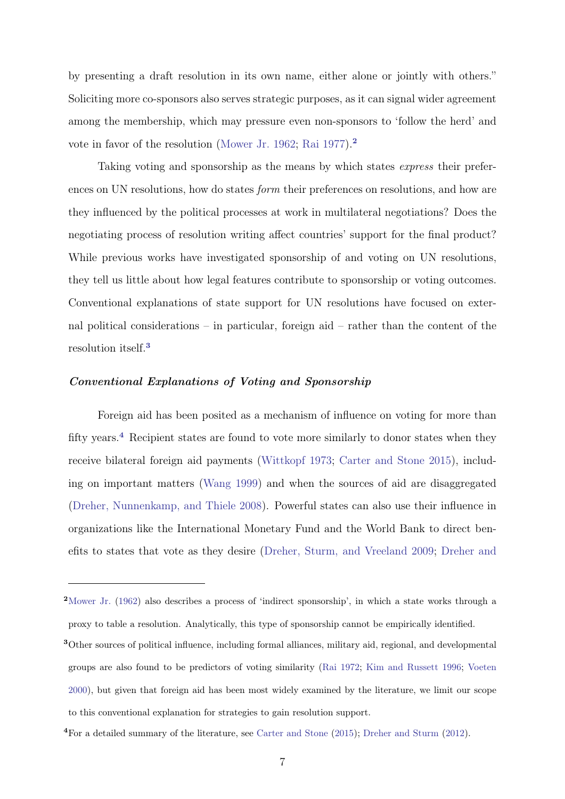by presenting a draft resolution in its own name, either alone or jointly with others." Soliciting more co-sponsors also serves strategic purposes, as it can signal wider agreement among the membership, which may pressure even non-sponsors to 'follow the herd' and vote in favor of the resolution [\(Mower Jr.](#page-31-5) [1962;](#page-31-5) [Rai](#page-31-6) [1977\)](#page-31-6).[2](#page-7-0)

Taking voting and sponsorship as the means by which states *express* their preferences on UN resolutions, how do states *form* their preferences on resolutions, and how are they influenced by the political processes at work in multilateral negotiations? Does the negotiating process of resolution writing affect countries' support for the final product? While previous works have investigated sponsorship of and voting on UN resolutions, they tell us little about how legal features contribute to sponsorship or voting outcomes. Conventional explanations of state support for UN resolutions have focused on external political considerations – in particular, foreign aid – rather than the content of the resolution itself.[3](#page-7-1)

## Conventional Explanations of Voting and Sponsorship

Foreign aid has been posited as a mechanism of influence on voting for more than fifty years.<sup>[4](#page-7-2)</sup> Recipient states are found to vote more similarly to donor states when they receive bilateral foreign aid payments [\(Wittkopf](#page-32-4) [1973;](#page-32-4) [Carter and Stone](#page-28-1) [2015\)](#page-28-1), including on important matters [\(Wang](#page-32-5) [1999\)](#page-32-5) and when the sources of aid are disaggregated [\(Dreher, Nunnenkamp, and Thiele](#page-29-1) [2008\)](#page-29-1). Powerful states can also use their influence in organizations like the International Monetary Fund and the World Bank to direct benefits to states that vote as they desire [\(Dreher, Sturm, and Vreeland](#page-29-6) [2009;](#page-29-6) [Dreher and](#page-29-7)

<span id="page-7-0"></span><sup>2</sup>[Mower Jr.](#page-31-5) [\(1962\) also describes a process of 'indirect sponsorship', in which a state works through a](#page-29-7) [proxy to table a resolution. Analytically, this type of sponsorship cannot be empirically identified.](#page-29-7)

<span id="page-7-1"></span><sup>&</sup>lt;sup>3</sup>[Other sources of political influence, including formal alliances, military aid, regional, and developmental](#page-29-7) [groups are also found to be predictors of voting similarity \(Rai](#page-29-7) [1972;](#page-31-4) [Kim and Russett](#page-30-6) [1996;](#page-30-6) [Voeten](#page-32-3) [2000\), but given that foreign aid has been most widely examined by the literature, we limit our scope](#page-29-7) [to this conventional explanation for strategies to gain resolution support.](#page-29-7)

<span id="page-7-2"></span><sup>4</sup>[For a detailed summary of the literature, see](#page-29-7) [Carter and Stone](#page-28-1) [\(2015\)](#page-28-1); [Dreher and Sturm](#page-29-7) [\(2012\)](#page-29-7).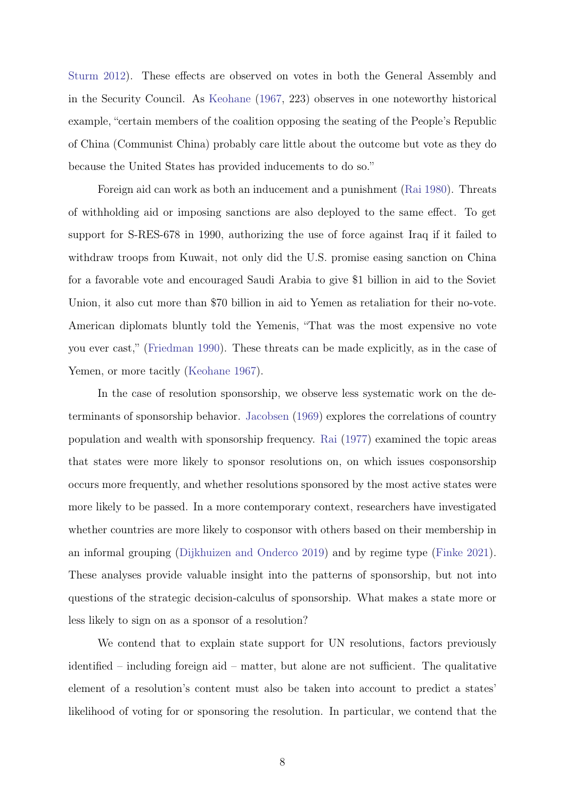[Sturm](#page-29-7) [2012\)](#page-29-7). These effects are observed on votes in both the General Assembly and in the Security Council. As [Keohane](#page-30-5) [\(1967,](#page-30-5) 223) observes in one noteworthy historical example, "certain members of the coalition opposing the seating of the People's Republic of China (Communist China) probably care little about the outcome but vote as they do because the United States has provided inducements to do so."

Foreign aid can work as both an inducement and a punishment [\(Rai](#page-31-7) [1980\)](#page-31-7). Threats of withholding aid or imposing sanctions are also deployed to the same effect. To get support for S-RES-678 in 1990, authorizing the use of force against Iraq if it failed to withdraw troops from Kuwait, not only did the U.S. promise easing sanction on China for a favorable vote and encouraged Saudi Arabia to give \$1 billion in aid to the Soviet Union, it also cut more than \$70 billion in aid to Yemen as retaliation for their no-vote. American diplomats bluntly told the Yemenis, "That was the most expensive no vote you ever cast," [\(Friedman](#page-30-7) [1990\)](#page-30-7). These threats can be made explicitly, as in the case of Yemen, or more tacitly [\(Keohane](#page-30-5) [1967\)](#page-30-5).

In the case of resolution sponsorship, we observe less systematic work on the determinants of sponsorship behavior. [Jacobsen](#page-30-8) [\(1969\)](#page-30-8) explores the correlations of country population and wealth with sponsorship frequency. [Rai](#page-31-6) [\(1977\)](#page-31-6) examined the topic areas that states were more likely to sponsor resolutions on, on which issues cosponsorship occurs more frequently, and whether resolutions sponsored by the most active states were more likely to be passed. In a more contemporary context, researchers have investigated whether countries are more likely to cosponsor with others based on their membership in an informal grouping [\(Dijkhuizen and Onderco](#page-29-8) [2019\)](#page-29-8) and by regime type [\(Finke](#page-29-4) [2021\)](#page-29-4). These analyses provide valuable insight into the patterns of sponsorship, but not into questions of the strategic decision-calculus of sponsorship. What makes a state more or less likely to sign on as a sponsor of a resolution?

We contend that to explain state support for UN resolutions, factors previously identified – including foreign aid – matter, but alone are not sufficient. The qualitative element of a resolution's content must also be taken into account to predict a states' likelihood of voting for or sponsoring the resolution. In particular, we contend that the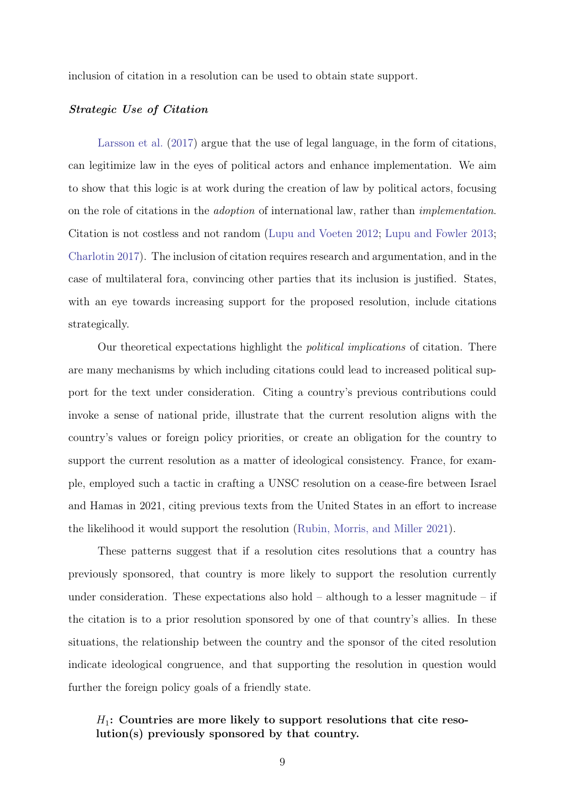inclusion of citation in a resolution can be used to obtain state support.

## Strategic Use of Citation

[Larsson et al.](#page-30-9) [\(2017\)](#page-30-9) argue that the use of legal language, in the form of citations, can legitimize law in the eyes of political actors and enhance implementation. We aim to show that this logic is at work during the creation of law by political actors, focusing on the role of citations in the adoption of international law, rather than implementation. Citation is not costless and not random [\(Lupu and Voeten](#page-30-1) [2012;](#page-30-1) [Lupu and Fowler](#page-31-8) [2013;](#page-31-8) [Charlotin](#page-29-0) [2017\)](#page-29-0). The inclusion of citation requires research and argumentation, and in the case of multilateral fora, convincing other parties that its inclusion is justified. States, with an eye towards increasing support for the proposed resolution, include citations strategically.

Our theoretical expectations highlight the political implications of citation. There are many mechanisms by which including citations could lead to increased political support for the text under consideration. Citing a country's previous contributions could invoke a sense of national pride, illustrate that the current resolution aligns with the country's values or foreign policy priorities, or create an obligation for the country to support the current resolution as a matter of ideological consistency. France, for example, employed such a tactic in crafting a UNSC resolution on a cease-fire between Israel and Hamas in 2021, citing previous texts from the United States in an effort to increase the likelihood it would support the resolution [\(Rubin, Morris, and Miller](#page-32-6) [2021\)](#page-32-6).

These patterns suggest that if a resolution cites resolutions that a country has previously sponsored, that country is more likely to support the resolution currently under consideration. These expectations also hold  $-$  although to a lesser magnitude  $-$  if the citation is to a prior resolution sponsored by one of that country's allies. In these situations, the relationship between the country and the sponsor of the cited resolution indicate ideological congruence, and that supporting the resolution in question would further the foreign policy goals of a friendly state.

## <span id="page-9-0"></span> $H_1$ : Countries are more likely to support resolutions that cite resolution(s) previously sponsored by that country.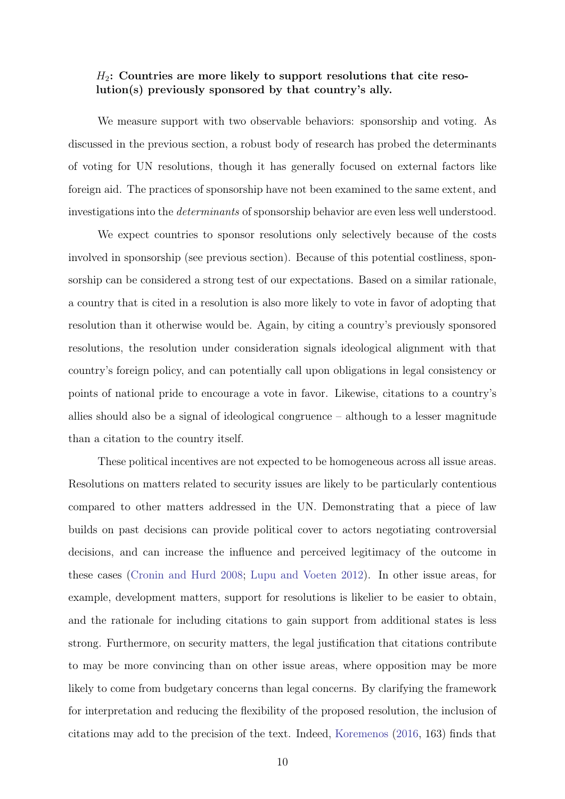## <span id="page-10-0"></span> $H_2$ : Countries are more likely to support resolutions that cite resolution(s) previously sponsored by that country's ally.

We measure support with two observable behaviors: sponsorship and voting. As discussed in the previous section, a robust body of research has probed the determinants of voting for UN resolutions, though it has generally focused on external factors like foreign aid. The practices of sponsorship have not been examined to the same extent, and investigations into the *determinants* of sponsorship behavior are even less well understood.

We expect countries to sponsor resolutions only selectively because of the costs involved in sponsorship (see previous section). Because of this potential costliness, sponsorship can be considered a strong test of our expectations. Based on a similar rationale, a country that is cited in a resolution is also more likely to vote in favor of adopting that resolution than it otherwise would be. Again, by citing a country's previously sponsored resolutions, the resolution under consideration signals ideological alignment with that country's foreign policy, and can potentially call upon obligations in legal consistency or points of national pride to encourage a vote in favor. Likewise, citations to a country's allies should also be a signal of ideological congruence – although to a lesser magnitude than a citation to the country itself.

These political incentives are not expected to be homogeneous across all issue areas. Resolutions on matters related to security issues are likely to be particularly contentious compared to other matters addressed in the UN. Demonstrating that a piece of law builds on past decisions can provide political cover to actors negotiating controversial decisions, and can increase the influence and perceived legitimacy of the outcome in these cases [\(Cronin and Hurd](#page-29-9) [2008;](#page-29-9) [Lupu and Voeten](#page-30-1) [2012\)](#page-30-1). In other issue areas, for example, development matters, support for resolutions is likelier to be easier to obtain, and the rationale for including citations to gain support from additional states is less strong. Furthermore, on security matters, the legal justification that citations contribute to may be more convincing than on other issue areas, where opposition may be more likely to come from budgetary concerns than legal concerns. By clarifying the framework for interpretation and reducing the flexibility of the proposed resolution, the inclusion of citations may add to the precision of the text. Indeed, [Koremenos](#page-30-10) [\(2016,](#page-30-10) 163) finds that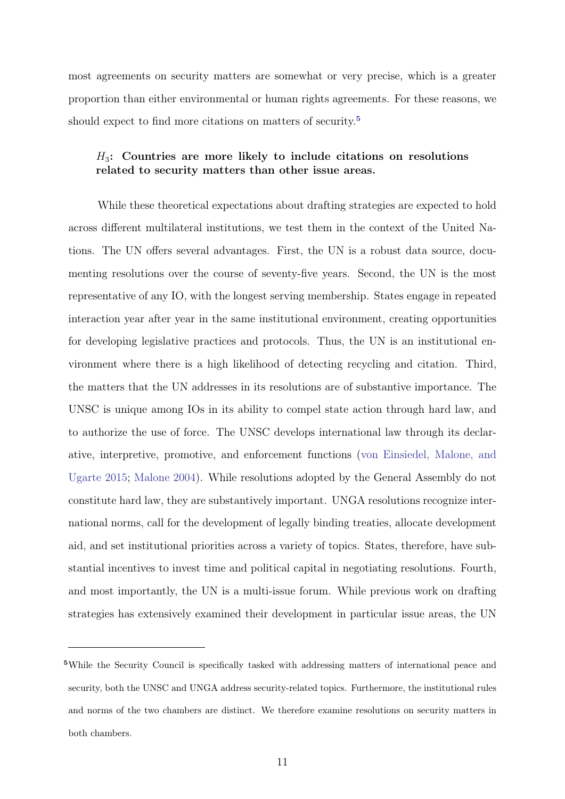most agreements on security matters are somewhat or very precise, which is a greater proportion than either environmental or human rights agreements. For these reasons, we should expect to find more citations on matters of security.<sup>[5](#page-11-0)</sup>

## <span id="page-11-1"></span> $H_3$ : Countries are more likely to include citations on resolutions related to security matters than other issue areas.

While these theoretical expectations about drafting strategies are expected to hold across different multilateral institutions, we test them in the context of the United Nations. The UN offers several advantages. First, the UN is a robust data source, documenting resolutions over the course of seventy-five years. Second, the UN is the most representative of any IO, with the longest serving membership. States engage in repeated interaction year after year in the same institutional environment, creating opportunities for developing legislative practices and protocols. Thus, the UN is an institutional environment where there is a high likelihood of detecting recycling and citation. Third, the matters that the UN addresses in its resolutions are of substantive importance. The UNSC is unique among IOs in its ability to compel state action through hard law, and to authorize the use of force. The UNSC develops international law through its declarative, interpretive, promotive, and enforcement functions [\(von Einsiedel, Malone, and](#page-32-7) [Ugarte](#page-32-7) [2015;](#page-32-7) [Malone](#page-31-9) [2004\)](#page-31-9). While resolutions adopted by the General Assembly do not constitute hard law, they are substantively important. UNGA resolutions recognize international norms, call for the development of legally binding treaties, allocate development aid, and set institutional priorities across a variety of topics. States, therefore, have substantial incentives to invest time and political capital in negotiating resolutions. Fourth, and most importantly, the UN is a multi-issue forum. While previous work on drafting strategies has extensively examined their development in particular issue areas, the UN

<span id="page-11-0"></span><sup>&</sup>lt;sup>5</sup>While the Security Council is specifically tasked with addressing matters of international peace and security, both the UNSC and UNGA address security-related topics. Furthermore, the institutional rules and norms of the two chambers are distinct. We therefore examine resolutions on security matters in both chambers.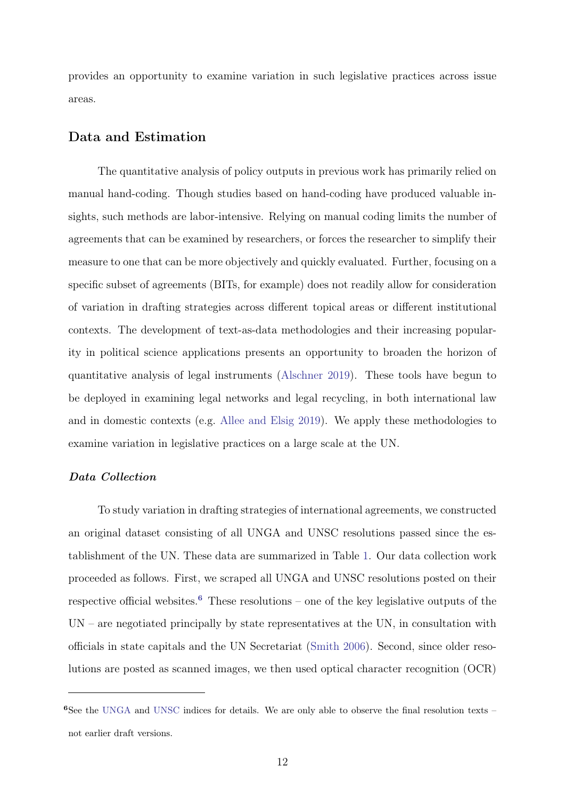provides an opportunity to examine variation in such legislative practices across issue areas.

## Data and Estimation

The quantitative analysis of policy outputs in previous work has primarily relied on manual hand-coding. Though studies based on hand-coding have produced valuable insights, such methods are labor-intensive. Relying on manual coding limits the number of agreements that can be examined by researchers, or forces the researcher to simplify their measure to one that can be more objectively and quickly evaluated. Further, focusing on a specific subset of agreements (BITs, for example) does not readily allow for consideration of variation in drafting strategies across different topical areas or different institutional contexts. The development of text-as-data methodologies and their increasing popularity in political science applications presents an opportunity to broaden the horizon of quantitative analysis of legal instruments [\(Alschner](#page-28-7) [2019\)](#page-28-7). These tools have begun to be deployed in examining legal networks and legal recycling, in both international law and in domestic contexts (e.g. [Allee and Elsig](#page-28-3) [2019\)](#page-28-3). We apply these methodologies to examine variation in legislative practices on a large scale at the UN.

#### Data Collection

To study variation in drafting strategies of international agreements, we constructed an original dataset consisting of all UNGA and UNSC resolutions passed since the establishment of the UN. These data are summarized in Table [1.](#page-18-0) Our data collection work proceeded as follows. First, we scraped all UNGA and UNSC resolutions posted on their respective official websites.<sup>[6](#page-12-0)</sup> These resolutions – one of the key legislative outputs of the  $UN$  – are negotiated principally by state representatives at the UN, in consultation with officials in state capitals and the UN Secretariat [\(Smith](#page-32-8) [2006\)](#page-32-8). Second, since older resolutions are posted as scanned images, we then used optical character recognition (OCR)

<span id="page-12-0"></span> $6$ See the [UNGA](https://www.un.org/en/sections/documents/general-assembly-resolutions/index.html) and [UNSC](https://www.un.org/securitycouncil/content/resolutions-adopted-security-council-1957) indices for details. We are only able to observe the final resolution texts – not earlier draft versions.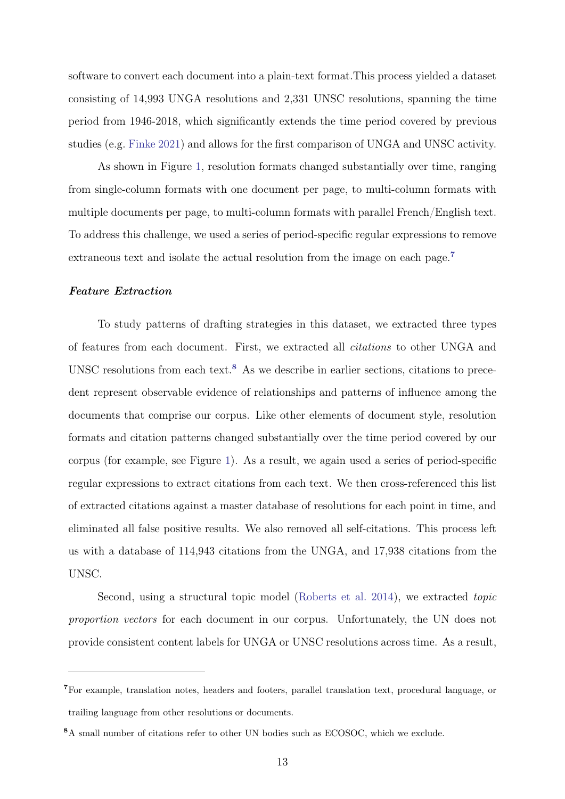software to convert each document into a plain-text format.This process yielded a dataset consisting of 14,993 UNGA resolutions and 2,331 UNSC resolutions, spanning the time period from 1946-2018, which significantly extends the time period covered by previous studies (e.g. [Finke](#page-29-4) [2021\)](#page-29-4) and allows for the first comparison of UNGA and UNSC activity.

As shown in Figure [1,](#page-14-0) resolution formats changed substantially over time, ranging from single-column formats with one document per page, to multi-column formats with multiple documents per page, to multi-column formats with parallel French/English text. To address this challenge, we used a series of period-specific regular expressions to remove extraneous text and isolate the actual resolution from the image on each page.[7](#page-13-0)

#### Feature Extraction

To study patterns of drafting strategies in this dataset, we extracted three types of features from each document. First, we extracted all citations to other UNGA and UNSC resolutions from each text.<sup>[8](#page-13-1)</sup> As we describe in earlier sections, citations to precedent represent observable evidence of relationships and patterns of influence among the documents that comprise our corpus. Like other elements of document style, resolution formats and citation patterns changed substantially over the time period covered by our corpus (for example, see Figure [1\)](#page-14-0). As a result, we again used a series of period-specific regular expressions to extract citations from each text. We then cross-referenced this list of extracted citations against a master database of resolutions for each point in time, and eliminated all false positive results. We also removed all self-citations. This process left us with a database of 114,943 citations from the UNGA, and 17,938 citations from the UNSC.

Second, using a structural topic model [\(Roberts et al.](#page-32-9) [2014\)](#page-32-9), we extracted topic proportion vectors for each document in our corpus. Unfortunately, the UN does not provide consistent content labels for UNGA or UNSC resolutions across time. As a result,

<span id="page-13-0"></span><sup>7</sup>For example, translation notes, headers and footers, parallel translation text, procedural language, or trailing language from other resolutions or documents.

<span id="page-13-1"></span><sup>8</sup>A small number of citations refer to other UN bodies such as ECOSOC, which we exclude.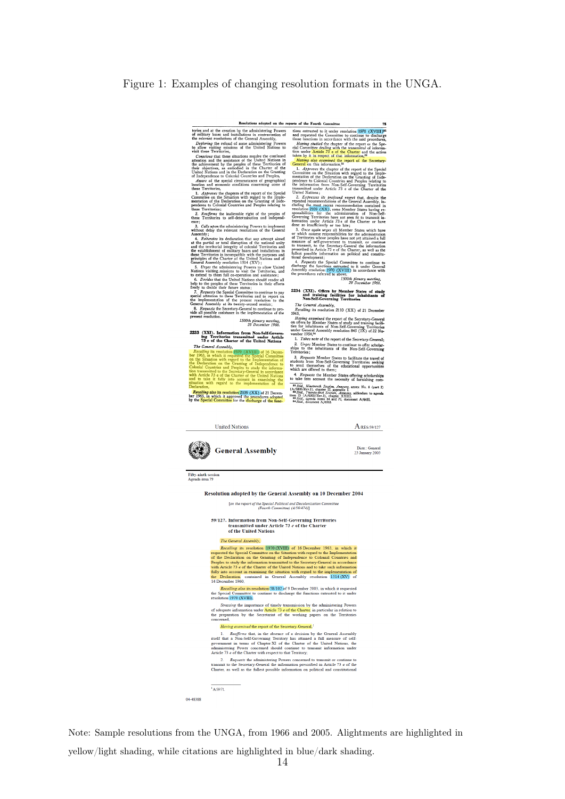## <span id="page-14-0"></span>Figure 1: Examples of changing resolution formats in the UNGA.

dopted on the reports of the Fourth Com-

**Resolutions adopted on the rep**<br>and at the creation by the administering Powers<br>tary bases and installations in contravernion of<br>evant resolutions of the General Assembly.<br>Coring the refusal of some administering Powers<br>w

iese Terriories, situations require the continued and the desistance of the United Nations in and the assistance of the United Nations is embedded in the Clareter of the Nations and in the Delactar of the Nations and in t

on and economic conditions concerning some of<br> $A$ phyposes the chapters of the report of the Special<br>difference the chapters of the report of the Special<br>difference to Colonial Countries and Peoples<br>reaction of the Declara

Territories;<br>Reaffirms the inalienable right of the peoples of<br>Territories to self-determination and independ-

Calls upon the administering Powers to implement<br>ut delay the relevant resolutions of the General

onut delay the relevant resolutions of the General<br>number of the streament resolutions of the General<br> $R$ . Relications that the matrix and the relationship and the partial or total disreption of the national unity<br>respect

1500th plenary meeting,<br>20 December 1966.

(XXI). Information from Non-Self-Governing Territories transmitted under Article 73 e of the Charter of the United Nations  $2233$ 

For e or the Charter of the United National<br>General Assembly,<br>alling its resolution (1970 (XVIII) of 16 December 2016), in which it requested the Special Committe (XVIII) of 16 Decem-<br>the Special Committee<br>the Implementation of<br>the of Independence to<br>s to study the informa-<br>y-General in accordance United Nations<br>
examining the<br>
intation of the

Jution 2109 (XX) of 21 Decem-<br>pproved the procedures adopted<br>ce for the discharge of the func-

pear or now real to it under resolution  $\frac{1970}{12111}$ .<br>
This can tracted to it under resolution  $\frac{1970}{121111}$ .<br>
and requested the Committee to outline to discharge the<br>
Horizon in accordance with the said procedure

**Electron** also crassmoot the report of the Secretary-<br>
Ferrical crisis information,<sup>34</sup><br>
Correlation this information,<sup>34</sup><br>
L. Approves the chapter of the frequencies of the proposition of the Secretary<br>
Committee on the

tional development;<br>
4. Requests the Special Committee to continue<br>
discharge the functions entrusted to it under General<br>
Assembly resolution 1970 (XVIII) in accordance wi<br>
the procedures referred to above.

above.<br>1500th plenary meeting,<br>20 December 1966.

## 2234 (XXI). Offers by Member States of study<br>and training facilities for inhabitants of<br>Non-Self-Governing Territories

Non-Self-Governing Territories<br>The General Assembly,<br>Recalling its resolution 2110 (XX) of 21 December<br>1965,

1965,<br> *Having examined* the report of the Secretary-General<br> *Having examined* the report of the Secretary-General<br>
on offers by Member States of study and training facili-<br>
under General Assembly resolution 845 (IX) of 2

vember 1954,<sup>34</sup><br>
2. *Urales note of the report of the Secretary-General;<br>
2. <i>Urges Member States to continue to offer scholar-*<br>
ships to the inhabitants of the Non-Self-Governing<br>
Territories:

Territories:<br>  $\lambda$ . Requests Member States to facilitate the travel of students from Non-Self-Governing Territories seeking<br>
to avail themselves of the educational opportunities<br>
which are offered to them;<br>
consider the M



**Fifty-ninth session**<br>Agenda item  $79$ 

Resolution adopted by the General Assembly on 10 December 2004

 $[on the report of the Special Political and Decolonization Committee (Fourth Committee)  $(A/59/474)]$$ 

59/127. Information from Non-Self-Governing Territories<br>transmitted under Article 73  $e$  of the Charter<br>of the United Nations

The General Assembly,

**Procedure 21 and 2000** COVIII) of 16 December 1963, in which it<br>Recalling its resolution 1970 (XVIII) of 16 December 1963, in which it<br>the Special Committee on the Simution with regard to the Implementation<br>the the Decla A.IL

The Decading also<br>the Second State is resolution 58/102 of 9 December 2003, in which it requested<br>the Special Committee to continue to discharge the functions entrusted to it under<br>resolution 1970 (XVIII),

resources *Structure 19* to the magnetation of the structure of timely transmission by the administering Poor adequate information under  $\overline{\text{Article 73 e of the Charter}}$  in particular in relation the preparation by the Secretariat of t

#### Having examined the report of the Secretary-General,<sup>1</sup>

**Example 20.1** and the strength of the strength of the strength of the strength itself that a Non-Self-Governing Territory has attained a full measure of self-Governing Territory has attained a full measure of the United

2. Requests the administering Powers concerned to transmit or continue to transmit to the Secretary-General the information prescribed in Article 73 e of the Charter, as well as the fullest possible information on politic

 $\frac{1}{1}$ A/59/71.

04-48388

Note: Sample resolutions from the UNGA, from 1966 and 2005. Alightments are highlighted in

yellow/light shading, while citations are highlighted in blue/dark shading.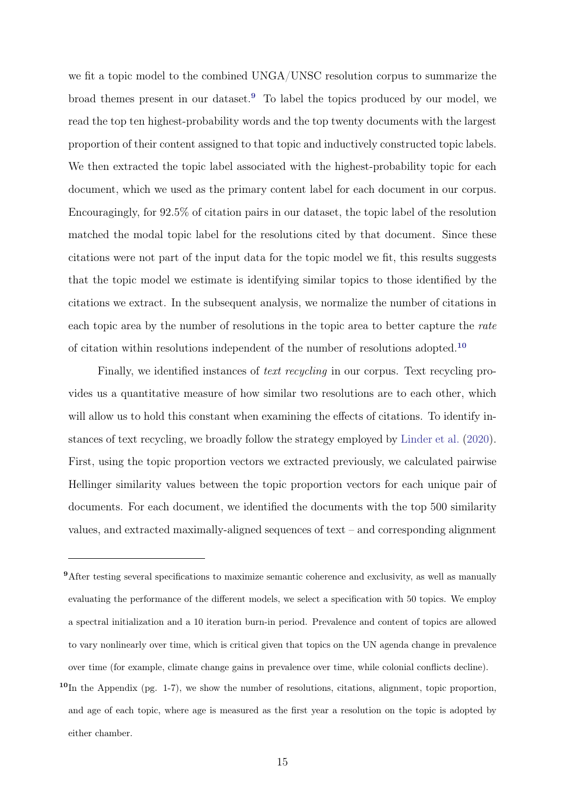we fit a topic model to the combined UNGA/UNSC resolution corpus to summarize the broad themes present in our dataset.[9](#page-15-0) To label the topics produced by our model, we read the top ten highest-probability words and the top twenty documents with the largest proportion of their content assigned to that topic and inductively constructed topic labels. We then extracted the topic label associated with the highest-probability topic for each document, which we used as the primary content label for each document in our corpus. Encouragingly, for 92.5% of citation pairs in our dataset, the topic label of the resolution matched the modal topic label for the resolutions cited by that document. Since these citations were not part of the input data for the topic model we fit, this results suggests that the topic model we estimate is identifying similar topics to those identified by the citations we extract. In the subsequent analysis, we normalize the number of citations in each topic area by the number of resolutions in the topic area to better capture the rate of citation within resolutions independent of the number of resolutions adopted.[10](#page-15-1)

Finally, we identified instances of *text recycling* in our corpus. Text recycling provides us a quantitative measure of how similar two resolutions are to each other, which will allow us to hold this constant when examining the effects of citations. To identify instances of text recycling, we broadly follow the strategy employed by [Linder et al.](#page-30-0) [\(2020\)](#page-30-0). First, using the topic proportion vectors we extracted previously, we calculated pairwise Hellinger similarity values between the topic proportion vectors for each unique pair of documents. For each document, we identified the documents with the top 500 similarity values, and extracted maximally-aligned sequences of text – and corresponding alignment

<span id="page-15-0"></span><sup>&</sup>lt;sup>9</sup>After testing several specifications to maximize semantic coherence and exclusivity, as well as manually evaluating the performance of the different models, we select a specification with 50 topics. We employ a spectral initialization and a 10 iteration burn-in period. Prevalence and content of topics are allowed to vary nonlinearly over time, which is critical given that topics on the UN agenda change in prevalence over time (for example, climate change gains in prevalence over time, while colonial conflicts decline).

<span id="page-15-1"></span><sup>&</sup>lt;sup>10</sup>In the Appendix (pg. 1-7), we show the number of resolutions, citations, alignment, topic proportion, and age of each topic, where age is measured as the first year a resolution on the topic is adopted by either chamber.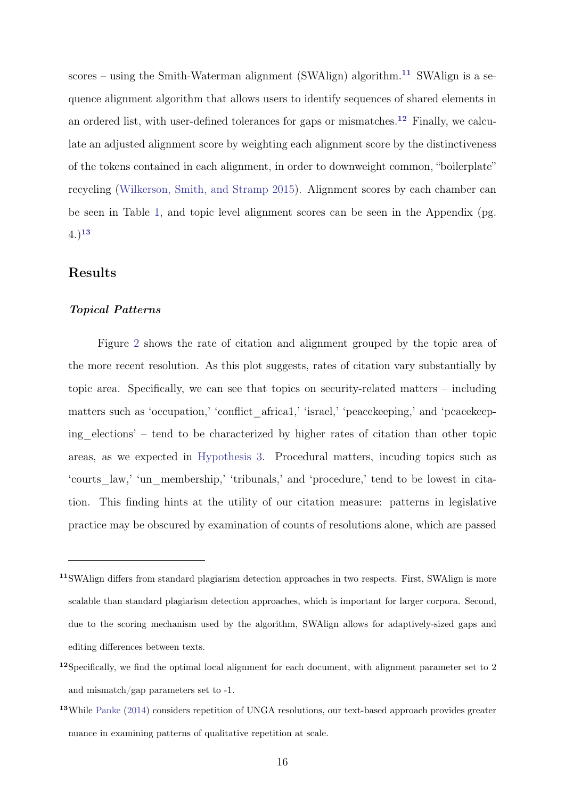scores – using the Smith-Waterman alignment (SWAlign) algorithm.<sup>[11](#page-16-0)</sup> SWAlign is a sequence alignment algorithm that allows users to identify sequences of shared elements in an ordered list, with user-defined tolerances for gaps or mismatches.<sup>[12](#page-16-1)</sup> Finally, we calculate an adjusted alignment score by weighting each alignment score by the distinctiveness of the tokens contained in each alignment, in order to downweight common, "boilerplate" recycling [\(Wilkerson, Smith, and Stramp](#page-32-1) [2015\)](#page-32-1). Alignment scores by each chamber can be seen in Table [1,](#page-18-0) and topic level alignment scores can be seen in the Appendix (pg.  $(4.)^{13}$  $(4.)^{13}$  $(4.)^{13}$ 

## Results

## Topical Patterns

Figure [2](#page-18-1) shows the rate of citation and alignment grouped by the topic area of the more recent resolution. As this plot suggests, rates of citation vary substantially by topic area. Specifically, we can see that topics on security-related matters – including matters such as 'occupation,' 'conflict africa1,' 'israel,' 'peacekeeping,' and 'peacekeeping\_elections' – tend to be characterized by higher rates of citation than other topic areas, as we expected in [Hypothesis 3.](#page-11-1) Procedural matters, incuding topics such as 'courts\_law,' 'un\_membership,' 'tribunals,' and 'procedure,' tend to be lowest in citation. This finding hints at the utility of our citation measure: patterns in legislative practice may be obscured by examination of counts of resolutions alone, which are passed

<span id="page-16-0"></span><sup>11</sup>SWAlign differs from standard plagiarism detection approaches in two respects. First, SWAlign is more scalable than standard plagiarism detection approaches, which is important for larger corpora. Second, due to the scoring mechanism used by the algorithm, SWAlign allows for adaptively-sized gaps and editing differences between texts.

<span id="page-16-1"></span><sup>&</sup>lt;sup>12</sup>Specifically, we find the optimal local alignment for each document, with alignment parameter set to  $2$ and mismatch/gap parameters set to -1.

<span id="page-16-2"></span><sup>13</sup>While [Panke](#page-31-10) [\(2014\)](#page-31-10) considers repetition of UNGA resolutions, our text-based approach provides greater nuance in examining patterns of qualitative repetition at scale.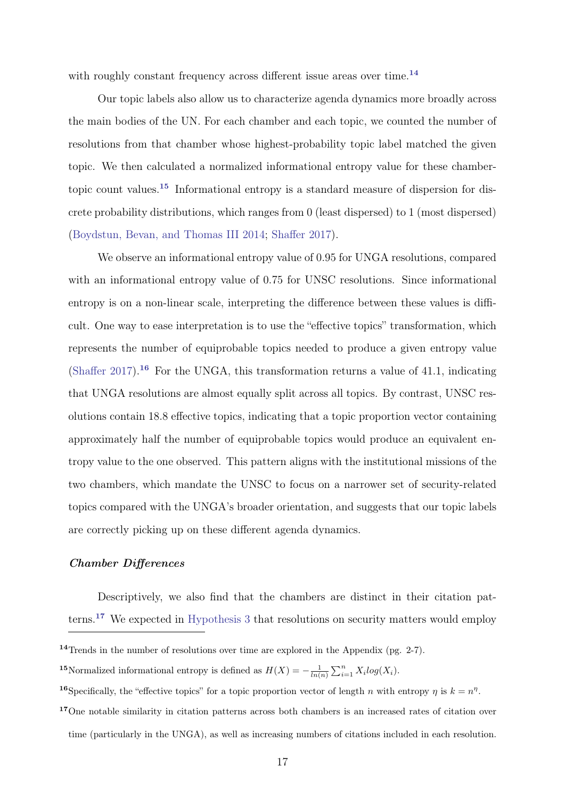with roughly constant frequency across different issue areas over time.<sup>[14](#page-17-0)</sup>

Our topic labels also allow us to characterize agenda dynamics more broadly across the main bodies of the UN. For each chamber and each topic, we counted the number of resolutions from that chamber whose highest-probability topic label matched the given topic. We then calculated a normalized informational entropy value for these chambertopic count values.[15](#page-17-1) Informational entropy is a standard measure of dispersion for discrete probability distributions, which ranges from 0 (least dispersed) to 1 (most dispersed) [\(Boydstun, Bevan, and Thomas III](#page-28-8) [2014;](#page-28-8) [Shaffer](#page-32-10) [2017\)](#page-32-10).

We observe an informational entropy value of 0.95 for UNGA resolutions, compared with an informational entropy value of 0.75 for UNSC resolutions. Since informational entropy is on a non-linear scale, interpreting the difference between these values is difficult. One way to ease interpretation is to use the "effective topics" transformation, which represents the number of equiprobable topics needed to produce a given entropy value [\(Shaffer](#page-32-10) [2017\)](#page-32-10).<sup>[16](#page-17-2)</sup> For the UNGA, this transformation returns a value of 41.1, indicating that UNGA resolutions are almost equally split across all topics. By contrast, UNSC resolutions contain 18.8 effective topics, indicating that a topic proportion vector containing approximately half the number of equiprobable topics would produce an equivalent entropy value to the one observed. This pattern aligns with the institutional missions of the two chambers, which mandate the UNSC to focus on a narrower set of security-related topics compared with the UNGA's broader orientation, and suggests that our topic labels are correctly picking up on these different agenda dynamics.

## Chamber Differences

Descriptively, we also find that the chambers are distinct in their citation patterns.[17](#page-17-3) We expected in [Hypothesis 3](#page-11-1) that resolutions on security matters would employ

<span id="page-17-2"></span><sup>15</sup>Normalized informational entropy is defined as  $H(X) = -\frac{1}{\ln(n)} \sum_{i=1}^{n} X_i log(X_i)$ .

<span id="page-17-1"></span><span id="page-17-0"></span><sup>&</sup>lt;sup>14</sup>Trends in the number of resolutions over time are explored in the Appendix (pg. 2-7).

<span id="page-17-3"></span><sup>&</sup>lt;sup>16</sup>Specifically, the "effective topics" for a topic proportion vector of length n with entropy  $\eta$  is  $k = n^{\eta}$ .

<sup>17</sup>One notable similarity in citation patterns across both chambers is an increased rates of citation over time (particularly in the UNGA), as well as increasing numbers of citations included in each resolution.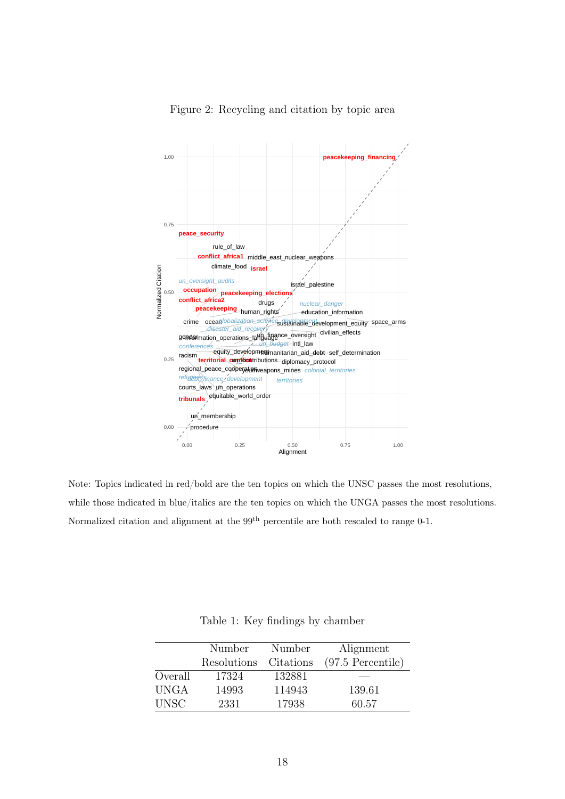<span id="page-18-1"></span>

Figure 2: Recycling and citation by topic area

Note: Topics indicated in red/bold are the ten topics on which the UNSC passes the most resolutions, while those indicated in blue/italics are the ten topics on which the UNGA passes the most resolutions. Normalized citation and alignment at the 99<sup>th</sup> percentile are both rescaled to range 0-1.

<span id="page-18-0"></span>

|             | Number      | Number    | Alignment           |
|-------------|-------------|-----------|---------------------|
|             | Resolutions | Citations | $(97.5$ Percentile) |
| Overall     | 17324       | 132881    |                     |
| <b>UNGA</b> | 14993       | 114943    | 139.61              |
| <b>UNSC</b> | 2331        | 17938     | 60.57               |

Table 1: Key findings by chamber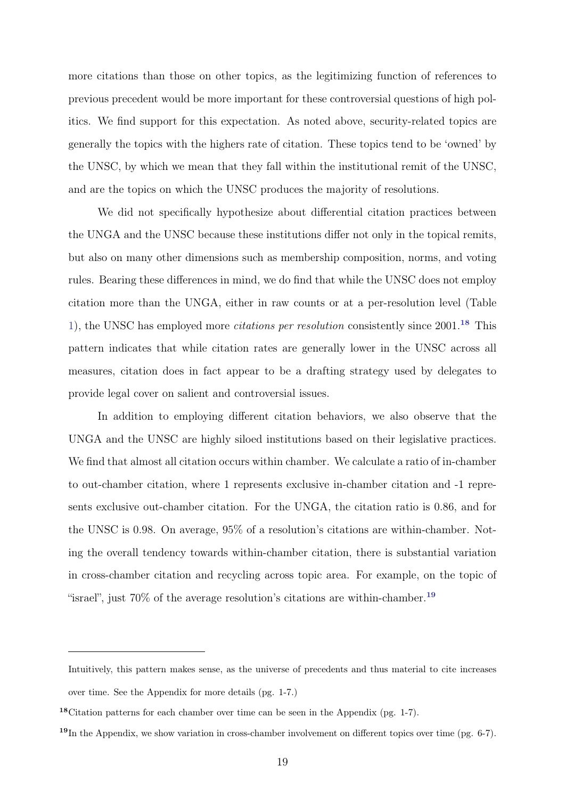more citations than those on other topics, as the legitimizing function of references to previous precedent would be more important for these controversial questions of high politics. We find support for this expectation. As noted above, security-related topics are generally the topics with the highers rate of citation. These topics tend to be 'owned' by the UNSC, by which we mean that they fall within the institutional remit of the UNSC, and are the topics on which the UNSC produces the majority of resolutions.

We did not specifically hypothesize about differential citation practices between the UNGA and the UNSC because these institutions differ not only in the topical remits, but also on many other dimensions such as membership composition, norms, and voting rules. Bearing these differences in mind, we do find that while the UNSC does not employ citation more than the UNGA, either in raw counts or at a per-resolution level (Table [1\)](#page-18-0), the UNSC has employed more *citations per resolution* consistently since  $2001$ .<sup>[18](#page-19-0)</sup> This pattern indicates that while citation rates are generally lower in the UNSC across all measures, citation does in fact appear to be a drafting strategy used by delegates to provide legal cover on salient and controversial issues.

In addition to employing different citation behaviors, we also observe that the UNGA and the UNSC are highly siloed institutions based on their legislative practices. We find that almost all citation occurs within chamber. We calculate a ratio of in-chamber to out-chamber citation, where 1 represents exclusive in-chamber citation and -1 represents exclusive out-chamber citation. For the UNGA, the citation ratio is 0.86, and for the UNSC is 0.98. On average, 95% of a resolution's citations are within-chamber. Noting the overall tendency towards within-chamber citation, there is substantial variation in cross-chamber citation and recycling across topic area. For example, on the topic of "israel", just  $70\%$  of the average resolution's citations are within-chamber.<sup>[19](#page-19-1)</sup>

Intuitively, this pattern makes sense, as the universe of precedents and thus material to cite increases over time. See the Appendix for more details (pg. 1-7.)

<span id="page-19-1"></span><span id="page-19-0"></span><sup>18</sup>Citation patterns for each chamber over time can be seen in the Appendix (pg. 1-7).

 $19$ In the Appendix, we show variation in cross-chamber involvement on different topics over time (pg. 6-7).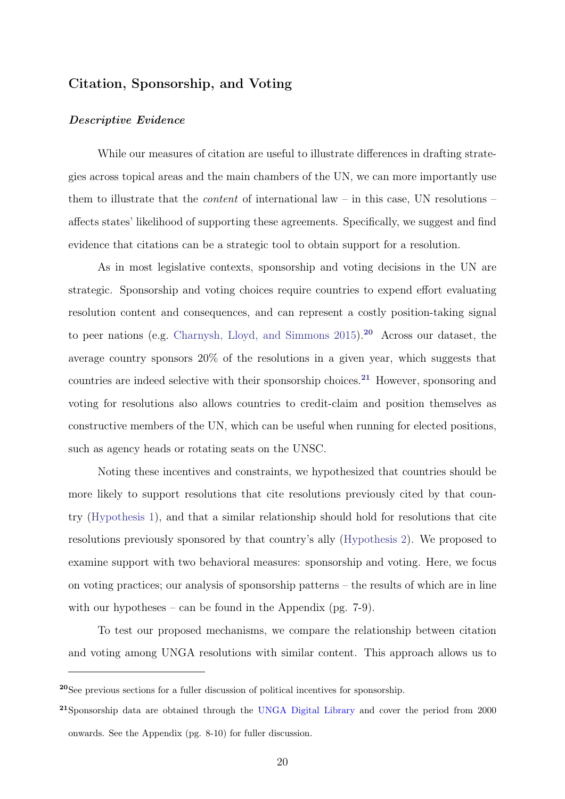## Citation, Sponsorship, and Voting

#### Descriptive Evidence

While our measures of citation are useful to illustrate differences in drafting strategies across topical areas and the main chambers of the UN, we can more importantly use them to illustrate that the *content* of international law – in this case, UN resolutions – affects states' likelihood of supporting these agreements. Specifically, we suggest and find evidence that citations can be a strategic tool to obtain support for a resolution.

As in most legislative contexts, sponsorship and voting decisions in the UN are strategic. Sponsorship and voting choices require countries to expend effort evaluating resolution content and consequences, and can represent a costly position-taking signal to peer nations (e.g. [Charnysh, Lloyd, and Simmons](#page-29-5) [2015\)](#page-29-5).[20](#page-20-0) Across our dataset, the average country sponsors 20% of the resolutions in a given year, which suggests that countries are indeed selective with their sponsorship choices.<sup>[21](#page-20-1)</sup> However, sponsoring and voting for resolutions also allows countries to credit-claim and position themselves as constructive members of the UN, which can be useful when running for elected positions, such as agency heads or rotating seats on the UNSC.

Noting these incentives and constraints, we hypothesized that countries should be more likely to support resolutions that cite resolutions previously cited by that country [\(Hypothesis 1\)](#page-9-0), and that a similar relationship should hold for resolutions that cite resolutions previously sponsored by that country's ally [\(Hypothesis 2\)](#page-10-0). We proposed to examine support with two behavioral measures: sponsorship and voting. Here, we focus on voting practices; our analysis of sponsorship patterns – the results of which are in line with our hypotheses – can be found in the Appendix (pg. 7-9).

To test our proposed mechanisms, we compare the relationship between citation and voting among UNGA resolutions with similar content. This approach allows us to

<span id="page-20-1"></span><span id="page-20-0"></span><sup>20</sup>See previous sections for a fuller discussion of political incentives for sponsorship.

<sup>&</sup>lt;sup>21</sup>Sponsorship data are obtained through the [UNGA Digital Library](https://digitallibrary.un.org/) and cover the period from 2000 onwards. See the Appendix (pg. 8-10) for fuller discussion.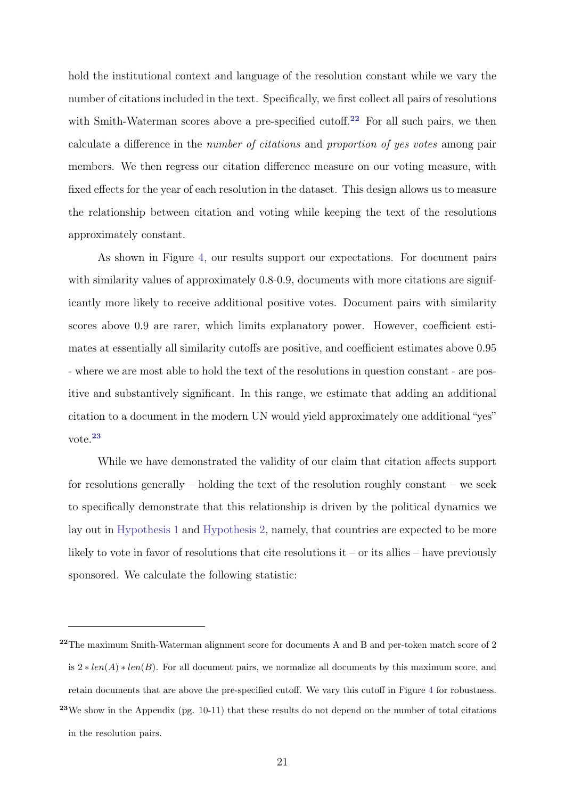hold the institutional context and language of the resolution constant while we vary the number of citations included in the text. Specifically, we first collect all pairs of resolutions with Smith-Waterman scores above a pre-specified cutoff.<sup>[22](#page-21-0)</sup> For all such pairs, we then calculate a difference in the number of citations and proportion of yes votes among pair members. We then regress our citation difference measure on our voting measure, with fixed effects for the year of each resolution in the dataset. This design allows us to measure the relationship between citation and voting while keeping the text of the resolutions approximately constant.

As shown in Figure [4,](#page-23-0) our results support our expectations. For document pairs with similarity values of approximately 0.8-0.9, documents with more citations are significantly more likely to receive additional positive votes. Document pairs with similarity scores above 0.9 are rarer, which limits explanatory power. However, coefficient estimates at essentially all similarity cutoffs are positive, and coefficient estimates above 0.95 - where we are most able to hold the text of the resolutions in question constant - are positive and substantively significant. In this range, we estimate that adding an additional citation to a document in the modern UN would yield approximately one additional "yes" vote. $^\mathrm{23}$  $^\mathrm{23}$  $^\mathrm{23}$ 

While we have demonstrated the validity of our claim that citation affects support for resolutions generally – holding the text of the resolution roughly constant – we seek to specifically demonstrate that this relationship is driven by the political dynamics we lay out in [Hypothesis 1](#page-9-0) and [Hypothesis 2,](#page-10-0) namely, that countries are expected to be more likely to vote in favor of resolutions that cite resolutions it – or its allies – have previously sponsored. We calculate the following statistic:

<span id="page-21-0"></span><sup>&</sup>lt;sup>22</sup>The maximum Smith-Waterman alignment score for documents A and B and per-token match score of 2 is  $2 * len(A) * len(B)$ . For all document pairs, we normalize all documents by this maximum score, and retain documents that are above the pre-specified cutoff. We vary this cutoff in Figure [4](#page-23-0) for robustness. <sup>23</sup>We show in the Appendix (pg. 10-11) that these results do not depend on the number of total citations

<span id="page-21-1"></span>in the resolution pairs.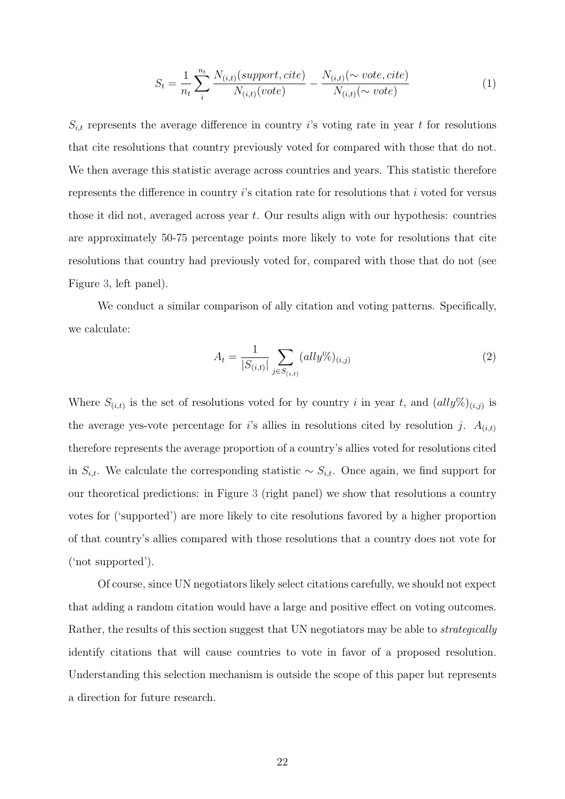$$
S_t = \frac{1}{n_t} \sum_{i}^{n_t} \frac{N_{(i,t)}(support, cite)}{N_{(i,t)}(vote)} - \frac{N_{(i,t)}(\sim vote, cite)}{N_{(i,t)}(\sim vote)} \tag{1}
$$

 $S_{i,t}$  represents the average difference in country i's voting rate in year t for resolutions that cite resolutions that country previously voted for compared with those that do not. We then average this statistic average across countries and years. This statistic therefore represents the difference in country  $i$ 's citation rate for resolutions that  $i$  voted for versus those it did not, averaged across year  $t$ . Our results align with our hypothesis: countries are approximately 50-75 percentage points more likely to vote for resolutions that cite resolutions that country had previously voted for, compared with those that do not (see Figure [3,](#page-23-1) left panel).

We conduct a similar comparison of ally citation and voting patterns. Specifically, we calculate:

$$
A_t = \frac{1}{|S_{(i,t)}|} \sum_{j \in S_{(i,t)}} (ally\%)_{(i,j)}
$$
\n(2)

Where  $S_{(i,t)}$  is the set of resolutions voted for by country i in year t, and  $(ally\%)_{(i,j)}$  is the average yes-vote percentage for i's allies in resolutions cited by resolution j.  $A_{(i,t)}$ therefore represents the average proportion of a country's allies voted for resolutions cited in  $S_{i,t}$ . We calculate the corresponding statistic ~  $S_{i,t}$ . Once again, we find support for our theoretical predictions: in Figure [3](#page-23-1) (right panel) we show that resolutions a country votes for ('supported') are more likely to cite resolutions favored by a higher proportion of that country's allies compared with those resolutions that a country does not vote for ('not supported').

Of course, since UN negotiators likely select citations carefully, we should not expect that adding a random citation would have a large and positive effect on voting outcomes. Rather, the results of this section suggest that UN negotiators may be able to *strategically* identify citations that will cause countries to vote in favor of a proposed resolution. Understanding this selection mechanism is outside the scope of this paper but represents a direction for future research.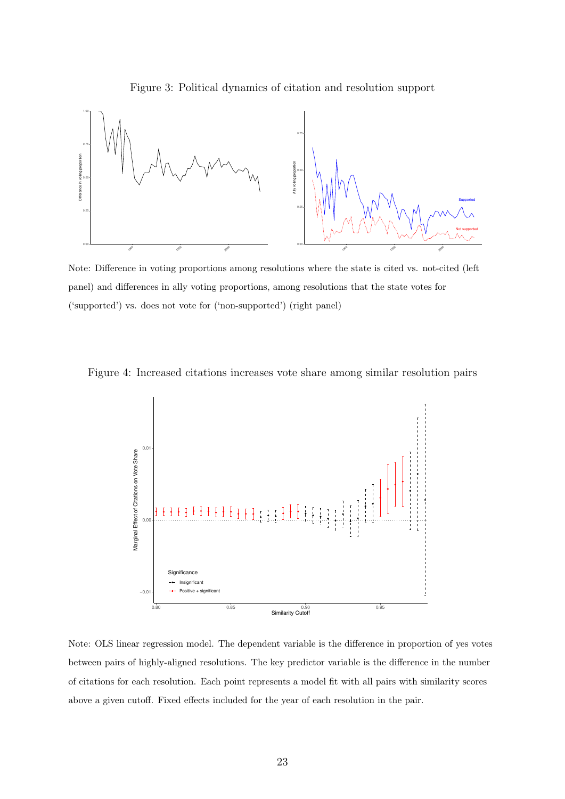Figure 3: Political dynamics of citation and resolution support

<span id="page-23-1"></span>

Note: Difference in voting proportions among resolutions where the state is cited vs. not-cited (left panel) and differences in ally voting proportions, among resolutions that the state votes for ('supported') vs. does not vote for ('non-supported') (right panel)

<span id="page-23-0"></span>



Note: OLS linear regression model. The dependent variable is the difference in proportion of yes votes between pairs of highly-aligned resolutions. The key predictor variable is the difference in the number of citations for each resolution. Each point represents a model fit with all pairs with similarity scores above a given cutoff. Fixed effects included for the year of each resolution in the pair.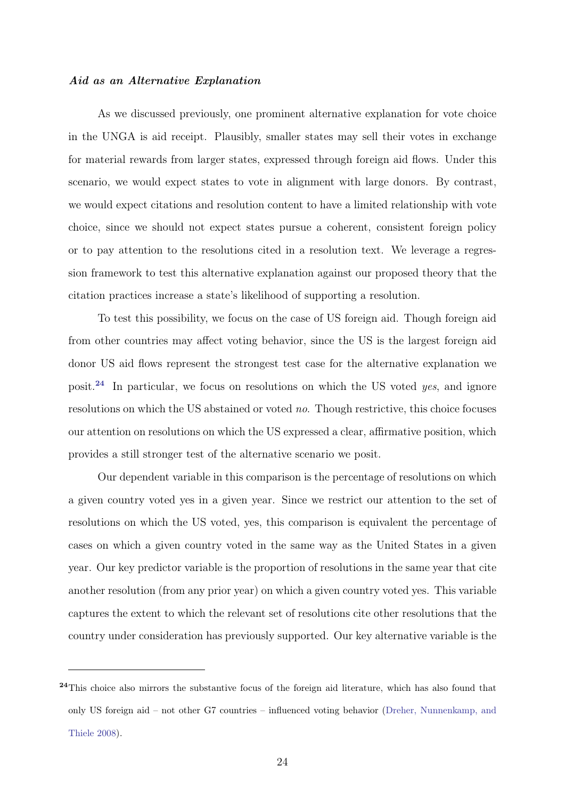## Aid as an Alternative Explanation

As we discussed previously, one prominent alternative explanation for vote choice in the UNGA is aid receipt. Plausibly, smaller states may sell their votes in exchange for material rewards from larger states, expressed through foreign aid flows. Under this scenario, we would expect states to vote in alignment with large donors. By contrast, we would expect citations and resolution content to have a limited relationship with vote choice, since we should not expect states pursue a coherent, consistent foreign policy or to pay attention to the resolutions cited in a resolution text. We leverage a regression framework to test this alternative explanation against our proposed theory that the citation practices increase a state's likelihood of supporting a resolution.

To test this possibility, we focus on the case of US foreign aid. Though foreign aid from other countries may affect voting behavior, since the US is the largest foreign aid donor US aid flows represent the strongest test case for the alternative explanation we posit.<sup>[24](#page-24-0)</sup> In particular, we focus on resolutions on which the US voted *yes*, and ignore resolutions on which the US abstained or voted no. Though restrictive, this choice focuses our attention on resolutions on which the US expressed a clear, affirmative position, which provides a still stronger test of the alternative scenario we posit.

Our dependent variable in this comparison is the percentage of resolutions on which a given country voted yes in a given year. Since we restrict our attention to the set of resolutions on which the US voted, yes, this comparison is equivalent the percentage of cases on which a given country voted in the same way as the United States in a given year. Our key predictor variable is the proportion of resolutions in the same year that cite another resolution (from any prior year) on which a given country voted yes. This variable captures the extent to which the relevant set of resolutions cite other resolutions that the country under consideration has previously supported. Our key alternative variable is the

<span id="page-24-0"></span><sup>&</sup>lt;sup>24</sup>This choice also mirrors the substantive focus of the foreign aid literature, which has also found that only US foreign aid – not other G7 countries – influenced voting behavior [\(Dreher, Nunnenkamp, and](#page-29-1) [Thiele](#page-29-1) [2008\)](#page-29-1).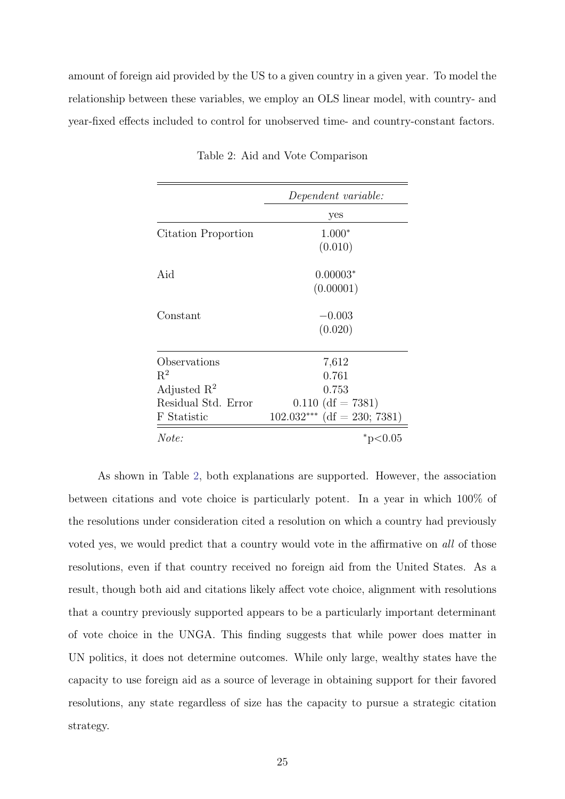<span id="page-25-0"></span>amount of foreign aid provided by the US to a given country in a given year. To model the relationship between these variables, we employ an OLS linear model, with country- and year-fixed effects included to control for unobserved time- and country-constant factors.

|                         | Dependent variable:           |
|-------------------------|-------------------------------|
|                         | yes                           |
| Citation Proportion     | $1.000*$                      |
|                         | (0.010)                       |
| Aid                     | $0.00003*$                    |
|                         | (0.00001)                     |
| Constant                | $-0.003$                      |
|                         | (0.020)                       |
| Observations            | 7,612                         |
| $R^2$                   | 0.761                         |
| Adjusted $\mathbb{R}^2$ | 0.753                         |
| Residual Std. Error     | $0.110$ (df = 7381)           |
| F Statistic             | $102.032***$ (df = 230; 7381) |
| Note:                   | *p $<$ 0.05                   |

Table 2: Aid and Vote Comparison

As shown in Table [2,](#page-25-0) both explanations are supported. However, the association between citations and vote choice is particularly potent. In a year in which 100% of the resolutions under consideration cited a resolution on which a country had previously voted yes, we would predict that a country would vote in the affirmative on all of those resolutions, even if that country received no foreign aid from the United States. As a result, though both aid and citations likely affect vote choice, alignment with resolutions that a country previously supported appears to be a particularly important determinant of vote choice in the UNGA. This finding suggests that while power does matter in UN politics, it does not determine outcomes. While only large, wealthy states have the capacity to use foreign aid as a source of leverage in obtaining support for their favored resolutions, any state regardless of size has the capacity to pursue a strategic citation strategy.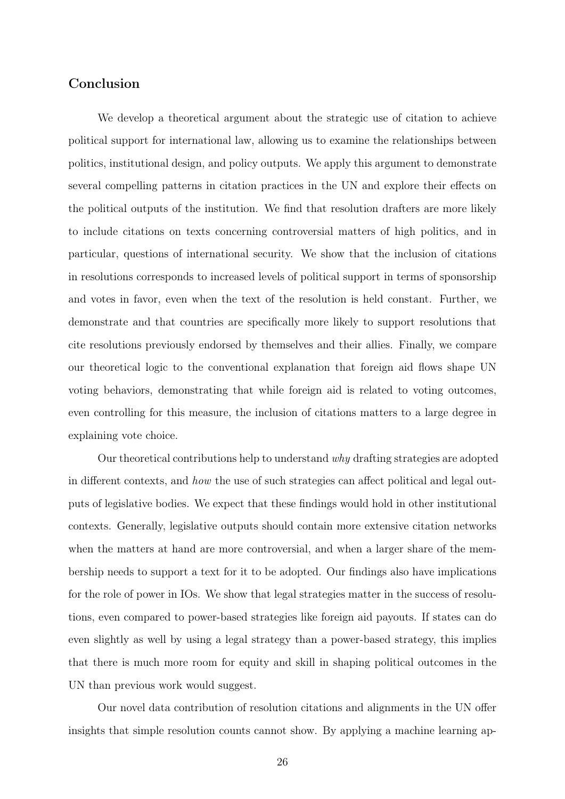## Conclusion

We develop a theoretical argument about the strategic use of citation to achieve political support for international law, allowing us to examine the relationships between politics, institutional design, and policy outputs. We apply this argument to demonstrate several compelling patterns in citation practices in the UN and explore their effects on the political outputs of the institution. We find that resolution drafters are more likely to include citations on texts concerning controversial matters of high politics, and in particular, questions of international security. We show that the inclusion of citations in resolutions corresponds to increased levels of political support in terms of sponsorship and votes in favor, even when the text of the resolution is held constant. Further, we demonstrate and that countries are specifically more likely to support resolutions that cite resolutions previously endorsed by themselves and their allies. Finally, we compare our theoretical logic to the conventional explanation that foreign aid flows shape UN voting behaviors, demonstrating that while foreign aid is related to voting outcomes, even controlling for this measure, the inclusion of citations matters to a large degree in explaining vote choice.

Our theoretical contributions help to understand why drafting strategies are adopted in different contexts, and how the use of such strategies can affect political and legal outputs of legislative bodies. We expect that these findings would hold in other institutional contexts. Generally, legislative outputs should contain more extensive citation networks when the matters at hand are more controversial, and when a larger share of the membership needs to support a text for it to be adopted. Our findings also have implications for the role of power in IOs. We show that legal strategies matter in the success of resolutions, even compared to power-based strategies like foreign aid payouts. If states can do even slightly as well by using a legal strategy than a power-based strategy, this implies that there is much more room for equity and skill in shaping political outcomes in the UN than previous work would suggest.

Our novel data contribution of resolution citations and alignments in the UN offer insights that simple resolution counts cannot show. By applying a machine learning ap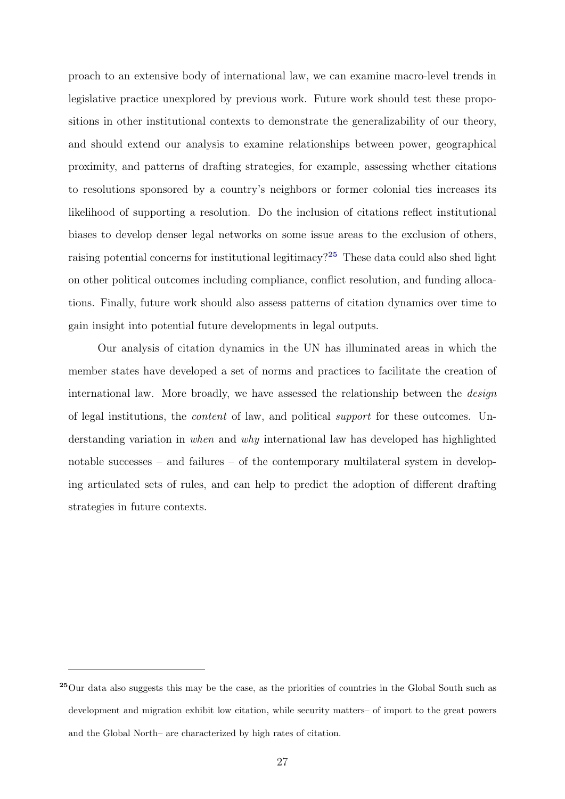proach to an extensive body of international law, we can examine macro-level trends in legislative practice unexplored by previous work. Future work should test these propositions in other institutional contexts to demonstrate the generalizability of our theory, and should extend our analysis to examine relationships between power, geographical proximity, and patterns of drafting strategies, for example, assessing whether citations to resolutions sponsored by a country's neighbors or former colonial ties increases its likelihood of supporting a resolution. Do the inclusion of citations reflect institutional biases to develop denser legal networks on some issue areas to the exclusion of others, raising potential concerns for institutional legitimacy?[25](#page-27-0) These data could also shed light on other political outcomes including compliance, conflict resolution, and funding allocations. Finally, future work should also assess patterns of citation dynamics over time to gain insight into potential future developments in legal outputs.

Our analysis of citation dynamics in the UN has illuminated areas in which the member states have developed a set of norms and practices to facilitate the creation of international law. More broadly, we have assessed the relationship between the design of legal institutions, the content of law, and political support for these outcomes. Understanding variation in when and why international law has developed has highlighted notable successes – and failures – of the contemporary multilateral system in developing articulated sets of rules, and can help to predict the adoption of different drafting strategies in future contexts.

<span id="page-27-0"></span><sup>25</sup>Our data also suggests this may be the case, as the priorities of countries in the Global South such as development and migration exhibit low citation, while security matters– of import to the great powers and the Global North– are characterized by high rates of citation.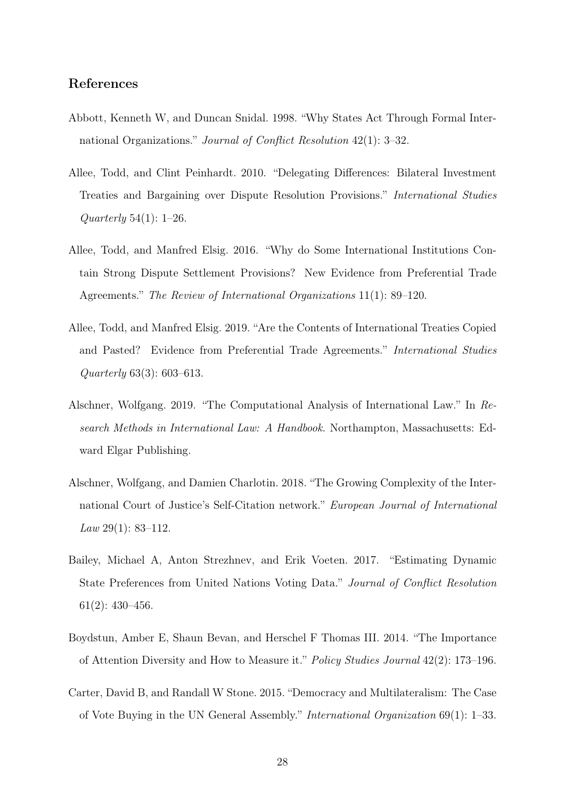## References

- <span id="page-28-2"></span>Abbott, Kenneth W, and Duncan Snidal. 1998. "Why States Act Through Formal International Organizations." Journal of Conflict Resolution 42(1): 3–32.
- <span id="page-28-0"></span>Allee, Todd, and Clint Peinhardt. 2010. "Delegating Differences: Bilateral Investment Treaties and Bargaining over Dispute Resolution Provisions." International Studies *Quarterly* 54(1):  $1-26$ .
- <span id="page-28-5"></span>Allee, Todd, and Manfred Elsig. 2016. "Why do Some International Institutions Contain Strong Dispute Settlement Provisions? New Evidence from Preferential Trade Agreements." The Review of International Organizations 11(1): 89–120.
- <span id="page-28-3"></span>Allee, Todd, and Manfred Elsig. 2019. "Are the Contents of International Treaties Copied and Pasted? Evidence from Preferential Trade Agreements." International Studies Quarterly 63(3): 603–613.
- <span id="page-28-7"></span>Alschner, Wolfgang. 2019. "The Computational Analysis of International Law." In Research Methods in International Law: A Handbook. Northampton, Massachusetts: Edward Elgar Publishing.
- <span id="page-28-4"></span>Alschner, Wolfgang, and Damien Charlotin. 2018. "The Growing Complexity of the International Court of Justice's Self-Citation network." European Journal of International Law  $29(1)$ : 83-112.
- <span id="page-28-6"></span>Bailey, Michael A, Anton Strezhnev, and Erik Voeten. 2017. "Estimating Dynamic State Preferences from United Nations Voting Data." Journal of Conflict Resolution 61(2): 430–456.
- <span id="page-28-8"></span>Boydstun, Amber E, Shaun Bevan, and Herschel F Thomas III. 2014. "The Importance of Attention Diversity and How to Measure it." Policy Studies Journal 42(2): 173–196.
- <span id="page-28-1"></span>Carter, David B, and Randall W Stone. 2015. "Democracy and Multilateralism: The Case of Vote Buying in the UN General Assembly." International Organization 69(1): 1–33.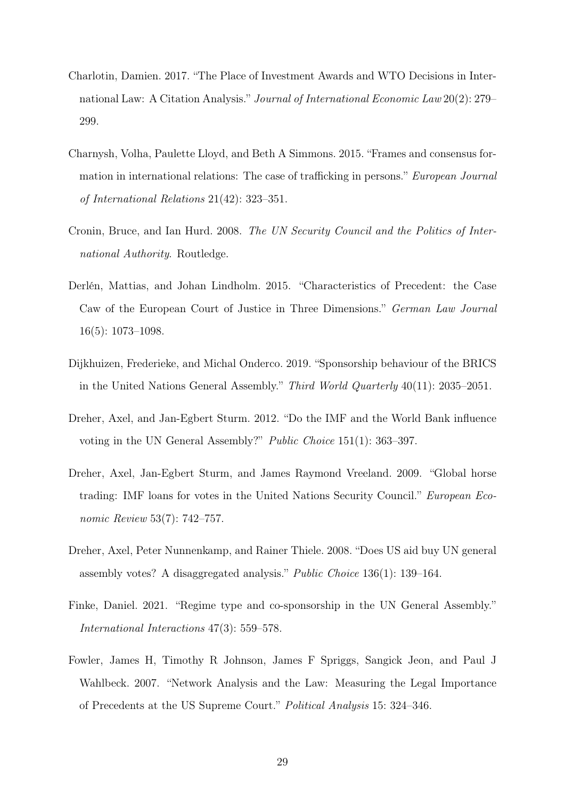- <span id="page-29-0"></span>Charlotin, Damien. 2017. "The Place of Investment Awards and WTO Decisions in International Law: A Citation Analysis." Journal of International Economic Law 20(2): 279– 299.
- <span id="page-29-5"></span>Charnysh, Volha, Paulette Lloyd, and Beth A Simmons. 2015. "Frames and consensus formation in international relations: The case of trafficking in persons." European Journal of International Relations 21(42): 323–351.
- <span id="page-29-9"></span>Cronin, Bruce, and Ian Hurd. 2008. The UN Security Council and the Politics of International Authority. Routledge.
- <span id="page-29-2"></span>Derlén, Mattias, and Johan Lindholm. 2015. "Characteristics of Precedent: the Case Caw of the European Court of Justice in Three Dimensions." German Law Journal 16(5): 1073–1098.
- <span id="page-29-8"></span>Dijkhuizen, Frederieke, and Michal Onderco. 2019. "Sponsorship behaviour of the BRICS in the United Nations General Assembly." Third World Quarterly 40(11): 2035–2051.
- <span id="page-29-7"></span>Dreher, Axel, and Jan-Egbert Sturm. 2012. "Do the IMF and the World Bank influence voting in the UN General Assembly?" Public Choice 151(1): 363–397.
- <span id="page-29-6"></span>Dreher, Axel, Jan-Egbert Sturm, and James Raymond Vreeland. 2009. "Global horse trading: IMF loans for votes in the United Nations Security Council." European Economic Review 53(7): 742–757.
- <span id="page-29-1"></span>Dreher, Axel, Peter Nunnenkamp, and Rainer Thiele. 2008. "Does US aid buy UN general assembly votes? A disaggregated analysis." Public Choice 136(1): 139–164.
- <span id="page-29-4"></span>Finke, Daniel. 2021. "Regime type and co-sponsorship in the UN General Assembly." International Interactions 47(3): 559–578.
- <span id="page-29-3"></span>Fowler, James H, Timothy R Johnson, James F Spriggs, Sangick Jeon, and Paul J Wahlbeck. 2007. "Network Analysis and the Law: Measuring the Legal Importance of Precedents at the US Supreme Court." Political Analysis 15: 324–346.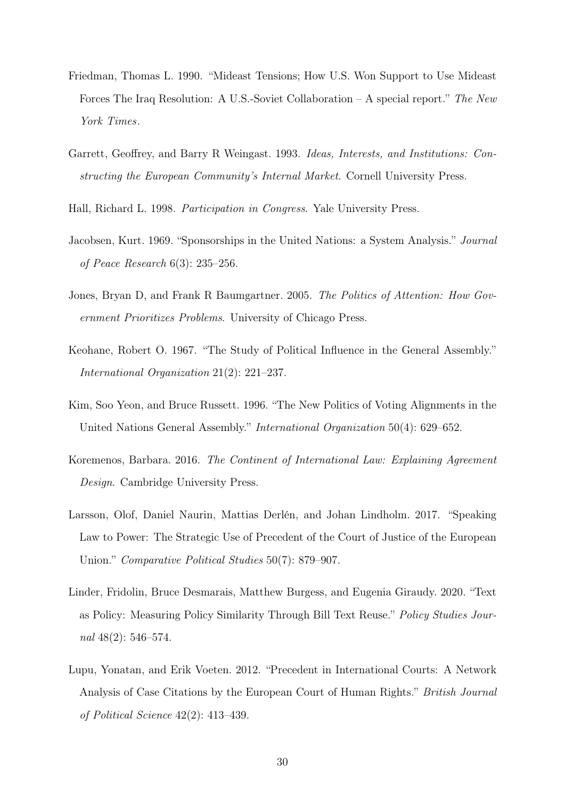- <span id="page-30-7"></span>Friedman, Thomas L. 1990. "Mideast Tensions; How U.S. Won Support to Use Mideast Forces The Iraq Resolution: A U.S.-Soviet Collaboration – A special report." The New York Times.
- <span id="page-30-4"></span>Garrett, Geoffrey, and Barry R Weingast. 1993. Ideas, Interests, and Institutions: Constructing the European Community's Internal Market. Cornell University Press.
- <span id="page-30-2"></span>Hall, Richard L. 1998. Participation in Congress. Yale University Press.
- <span id="page-30-8"></span>Jacobsen, Kurt. 1969. "Sponsorships in the United Nations: a System Analysis." Journal of Peace Research 6(3): 235–256.
- <span id="page-30-3"></span>Jones, Bryan D, and Frank R Baumgartner. 2005. The Politics of Attention: How Government Prioritizes Problems. University of Chicago Press.
- <span id="page-30-5"></span>Keohane, Robert O. 1967. "The Study of Political Influence in the General Assembly." International Organization 21(2): 221–237.
- <span id="page-30-6"></span>Kim, Soo Yeon, and Bruce Russett. 1996. "The New Politics of Voting Alignments in the United Nations General Assembly." International Organization 50(4): 629–652.
- <span id="page-30-10"></span>Koremenos, Barbara. 2016. The Continent of International Law: Explaining Agreement Design. Cambridge University Press.
- <span id="page-30-9"></span>Larsson, Olof, Daniel Naurin, Mattias Derlén, and Johan Lindholm. 2017. "Speaking Law to Power: The Strategic Use of Precedent of the Court of Justice of the European Union." Comparative Political Studies 50(7): 879–907.
- <span id="page-30-0"></span>Linder, Fridolin, Bruce Desmarais, Matthew Burgess, and Eugenia Giraudy. 2020. "Text as Policy: Measuring Policy Similarity Through Bill Text Reuse." Policy Studies Journal 48(2): 546–574.
- <span id="page-30-1"></span>Lupu, Yonatan, and Erik Voeten. 2012. "Precedent in International Courts: A Network Analysis of Case Citations by the European Court of Human Rights." British Journal of Political Science 42(2): 413–439.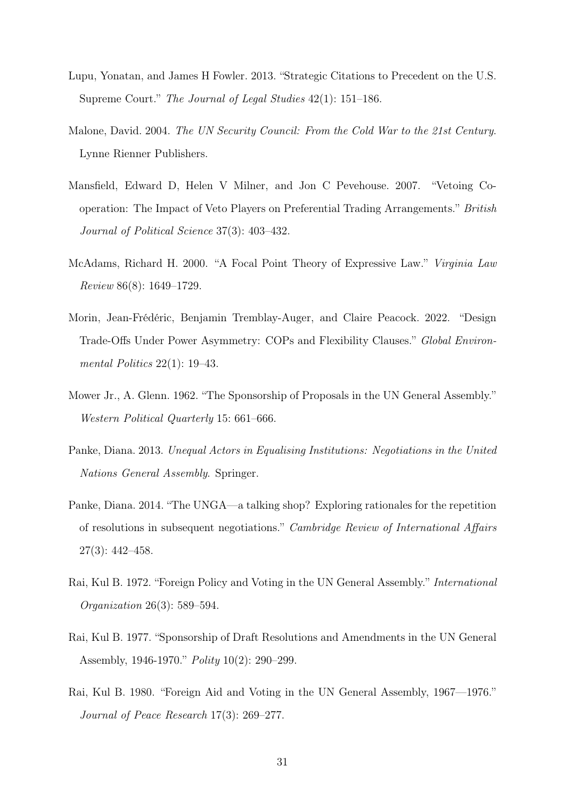- <span id="page-31-8"></span>Lupu, Yonatan, and James H Fowler. 2013. "Strategic Citations to Precedent on the U.S. Supreme Court." The Journal of Legal Studies 42(1): 151–186.
- <span id="page-31-9"></span>Malone, David. 2004. The UN Security Council: From the Cold War to the 21st Century. Lynne Rienner Publishers.
- <span id="page-31-1"></span>Mansfield, Edward D, Helen V Milner, and Jon C Pevehouse. 2007. "Vetoing Cooperation: The Impact of Veto Players on Preferential Trading Arrangements." British Journal of Political Science 37(3): 403–432.
- <span id="page-31-2"></span>McAdams, Richard H. 2000. "A Focal Point Theory of Expressive Law." Virginia Law Review 86(8): 1649–1729.
- <span id="page-31-3"></span>Morin, Jean-Frédéric, Benjamin Tremblay-Auger, and Claire Peacock. 2022. "Design Trade-Offs Under Power Asymmetry: COPs and Flexibility Clauses." Global Environmental Politics 22(1): 19–43.
- <span id="page-31-5"></span>Mower Jr., A. Glenn. 1962. "The Sponsorship of Proposals in the UN General Assembly." Western Political Quarterly 15: 661–666.
- <span id="page-31-0"></span>Panke, Diana. 2013. Unequal Actors in Equalising Institutions: Negotiations in the United Nations General Assembly. Springer.
- <span id="page-31-10"></span>Panke, Diana. 2014. "The UNGA—a talking shop? Exploring rationales for the repetition of resolutions in subsequent negotiations." Cambridge Review of International Affairs 27(3): 442–458.
- <span id="page-31-4"></span>Rai, Kul B. 1972. "Foreign Policy and Voting in the UN General Assembly." International Organization 26(3): 589–594.
- <span id="page-31-6"></span>Rai, Kul B. 1977. "Sponsorship of Draft Resolutions and Amendments in the UN General Assembly, 1946-1970." Polity 10(2): 290–299.
- <span id="page-31-7"></span>Rai, Kul B. 1980. "Foreign Aid and Voting in the UN General Assembly, 1967—1976." Journal of Peace Research 17(3): 269–277.